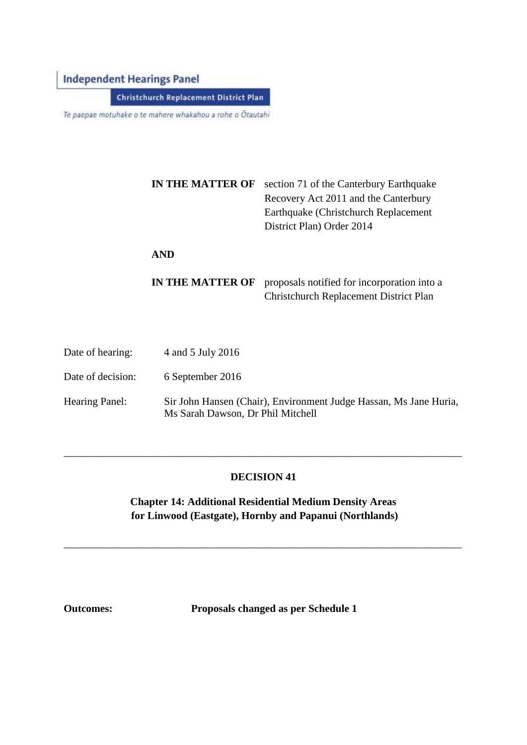# **Independent Hearings Panel**

**Christchurch Replacement District Plan** 

Te paepae motuhake o te mahere whakahou a rohe o Ötautahi

|                                      | <b>IN THE MATTER OF</b>             | section 71 of the Canterbury Earthquake<br>Recovery Act 2011 and the Canterbury<br>Earthquake (Christchurch Replacement<br>District Plan) Order 2014 |  |
|--------------------------------------|-------------------------------------|------------------------------------------------------------------------------------------------------------------------------------------------------|--|
|                                      | <b>AND</b>                          |                                                                                                                                                      |  |
|                                      | <b>IN THE MATTER OF</b>             | proposals notified for incorporation into a<br>Christchurch Replacement District Plan                                                                |  |
| $\Gamma$ <sub>ata a</sub> f haaringu | $\lambda$ and $\epsilon$ Inter 0016 |                                                                                                                                                      |  |

| Date of hearing:  | $4$ and $5$ July $2016$                                                                                |
|-------------------|--------------------------------------------------------------------------------------------------------|
| Date of decision: | 6 September 2016                                                                                       |
| Hearing Panel:    | Sir John Hansen (Chair), Environment Judge Hassan, Ms Jane Huria,<br>Ms Sarah Dawson, Dr Phil Mitchell |

#### **DECISION 41**

\_\_\_\_\_\_\_\_\_\_\_\_\_\_\_\_\_\_\_\_\_\_\_\_\_\_\_\_\_\_\_\_\_\_\_\_\_\_\_\_\_\_\_\_\_\_\_\_\_\_\_\_\_\_\_\_\_\_\_\_\_\_\_\_\_\_\_\_\_\_\_\_\_\_\_

**Chapter 14: Additional Residential Medium Density Areas for Linwood (Eastgate), Hornby and Papanui (Northlands)**

\_\_\_\_\_\_\_\_\_\_\_\_\_\_\_\_\_\_\_\_\_\_\_\_\_\_\_\_\_\_\_\_\_\_\_\_\_\_\_\_\_\_\_\_\_\_\_\_\_\_\_\_\_\_\_\_\_\_\_\_\_\_\_\_\_\_\_\_\_\_\_\_\_\_\_

**Outcomes: Proposals changed as per Schedule 1**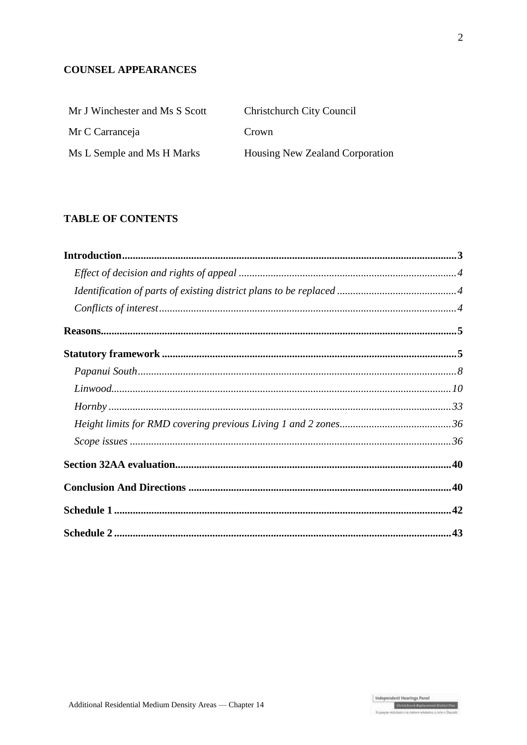## **COUNSEL APPEARANCES**

| Mr J Winchester and Ms S Scott | <b>Christchurch City Council</b> |
|--------------------------------|----------------------------------|
| Mr C Carranceja                | Crown                            |
| Ms L Semple and Ms H Marks     | Housing New Zealand Corporation  |

## **TABLE OF CONTENTS**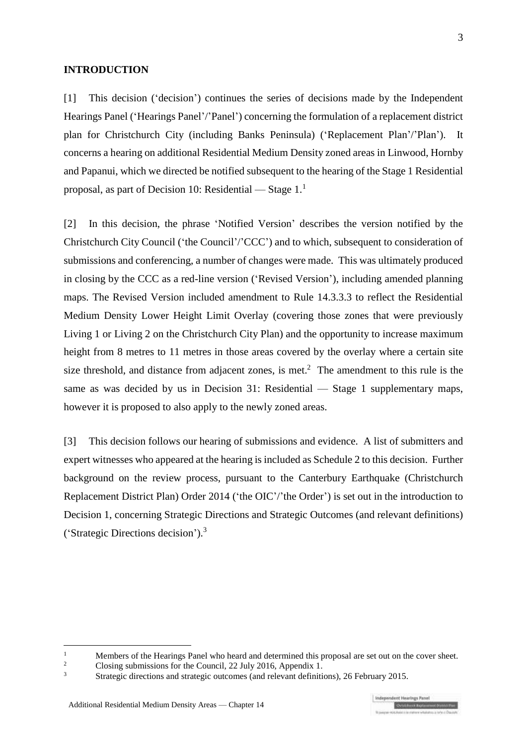#### **INTRODUCTION**

[1] This decision ('decision') continues the series of decisions made by the Independent Hearings Panel ('Hearings Panel'/'Panel') concerning the formulation of a replacement district plan for Christchurch City (including Banks Peninsula) ('Replacement Plan'/'Plan'). It concerns a hearing on additional Residential Medium Density zoned areas in Linwood, Hornby and Papanui, which we directed be notified subsequent to the hearing of the Stage 1 Residential proposal, as part of Decision 10: Residential — Stage 1. 1

[2] In this decision, the phrase 'Notified Version' describes the version notified by the Christchurch City Council ('the Council'/'CCC') and to which, subsequent to consideration of submissions and conferencing, a number of changes were made. This was ultimately produced in closing by the CCC as a red-line version ('Revised Version'), including amended planning maps. The Revised Version included amendment to Rule 14.3.3.3 to reflect the Residential Medium Density Lower Height Limit Overlay (covering those zones that were previously Living 1 or Living 2 on the Christchurch City Plan) and the opportunity to increase maximum height from 8 metres to 11 metres in those areas covered by the overlay where a certain site size threshold, and distance from adjacent zones, is met.<sup>2</sup> The amendment to this rule is the same as was decided by us in Decision 31: Residential — Stage 1 supplementary maps, however it is proposed to also apply to the newly zoned areas.

[3] This decision follows our hearing of submissions and evidence. A list of submitters and expert witnesses who appeared at the hearing is included as Schedule 2 to this decision. Further background on the review process, pursuant to the [Canterbury Earthquake \(Christchurch](http://www.legislation.govt.nz/regulation/public/2014/0228/latest/DLM6190883.html?search=ts_act%40bill%40regulation%40deemedreg_Canterbury+Earthquake+%28Christchurch+Replacement+District+Plan%29+Order+2014+_resel_25_a&p=1)  [Replacement District Plan\) Order 2014](http://www.legislation.govt.nz/regulation/public/2014/0228/latest/DLM6190883.html?search=ts_act%40bill%40regulation%40deemedreg_Canterbury+Earthquake+%28Christchurch+Replacement+District+Plan%29+Order+2014+_resel_25_a&p=1) ('the OIC'/'the Order') is set out in the introduction to Decision 1, concerning Strategic Directions and Strategic Outcomes (and relevant definitions) ('Strategic Directions decision').<sup>3</sup>

 $\overline{1}$ <sup>1</sup> Members of the Hearings Panel who heard and determined this proposal are set out on the cover sheet.<br><sup>2</sup> Closing submissions for the Council 22 July 2016, Appendix 1.

<sup>&</sup>lt;sup>2</sup> Closing submissions for the Council, 22 July 2016, Appendix 1.<br> $\frac{3}{2}$  Chrotogia directions and strategie outcomes (and relaxant definitions)

<sup>3</sup> [Strategic directions and strategic outcomes \(and relevant definitions\), 26 February 2015.](http://www.chchplan.ihp.govt.nz/wp-content/uploads/2015/03/Strategic-Directions-and-Strategic-Outcomes-Decision.pdf)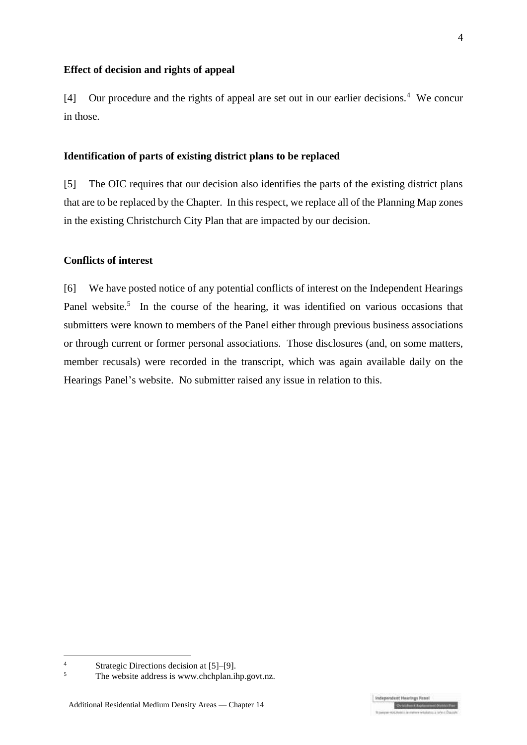#### **Effect of decision and rights of appeal**

[4] Our procedure and the rights of appeal are set out in our earlier decisions.<sup>4</sup> We concur in those.

#### **Identification of parts of existing district plans to be replaced**

[5] The OIC requires that our decision also identifies the parts of the existing district plans that are to be replaced by the Chapter. In this respect, we replace all of the Planning Map zones in the existing Christchurch City Plan that are impacted by our decision.

#### **Conflicts of interest**

[6] We have posted notice of any potential conflicts of interest on the Independent Hearings Panel website.<sup>5</sup> In the course of the hearing, it was identified on various occasions that submitters were known to members of the Panel either through previous business associations or through current or former personal associations. Those disclosures (and, on some matters, member recusals) were recorded in the transcript, which was again available daily on the Hearings Panel's website. No submitter raised any issue in relation to this.

<sup>&</sup>lt;sup>4</sup> Strategic Directions decision at  $[5]$ –[9].<br><sup>5</sup> The website address is www.chchplan.ii

The website address i[s www.chchplan.ihp.govt.nz.](http://www.chchplan.ihp.govt.nz/)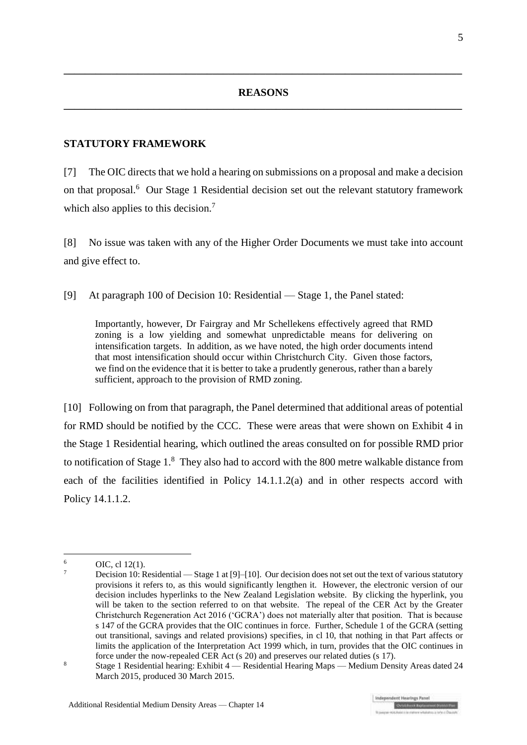**\_\_\_\_\_\_\_\_\_\_\_\_\_\_\_\_\_\_\_\_\_\_\_\_\_\_\_\_\_\_\_\_\_\_\_\_\_\_\_\_\_\_\_\_\_\_\_\_\_\_\_\_\_\_\_\_\_\_\_\_\_\_\_\_\_\_\_\_\_\_\_\_\_\_\_**

### **STATUTORY FRAMEWORK**

[7] The OIC directs that we hold a hearing on submissions on a proposal and make a decision on that proposal.<sup>6</sup> Our Stage 1 Residential decision set out the relevant statutory framework which also applies to this decision.<sup>7</sup>

[8] No issue was taken with any of the Higher Order Documents we must take into account and give effect to.

[9] At paragraph 100 of Decision 10: Residential — Stage 1, the Panel stated:

Importantly, however, Dr Fairgray and Mr Schellekens effectively agreed that RMD zoning is a low yielding and somewhat unpredictable means for delivering on intensification targets. In addition, as we have noted, the high order documents intend that most intensification should occur within Christchurch City. Given those factors, we find on the evidence that it is better to take a prudently generous, rather than a barely sufficient, approach to the provision of RMD zoning.

[10] Following on from that paragraph, the Panel determined that additional areas of potential for RMD should be notified by the CCC. These were areas that were shown on Exhibit 4 in the Stage 1 Residential hearing, which outlined the areas consulted on for possible RMD prior to notification of Stage  $1<sup>8</sup>$  They also had to accord with the 800 metre walkable distance from each of the facilities identified in Policy 14.1.1.2(a) and in other respects accord with Policy 14.1.1.2.

<u>.</u>

 $6$  OIC, cl [12\(1\).](http://www.legislation.govt.nz/regulation/public/2014/0228/latest/DLM6191312.html?search=ts_act%40bill%40regulation%40deemedreg_Canterbury+Earthquake+(Christchurch+Replacement+District+Plan)+Order+2014+_resel_25_a&p=1)

<sup>7</sup> Decision 10: Residential — Stage 1 at [9]–[10]. Our decision does not set out the text of various statutory provisions it refers to, as this would significantly lengthen it. However, the electronic version of our decision includes hyperlinks to the New Zealand Legislation website. By clicking the hyperlink, you will be taken to the section referred to on that website. The repeal of the CER Act by the Greater Christchurch Regeneration Act 2016 ('GCRA') does not materially alter that position. That is because s 147 of the GCRA provides that the OIC continues in force. Further, Schedule 1 of the GCRA (setting out transitional, savings and related provisions) specifies, in cl 10, that nothing in that Part affects or limits the application of the Interpretation Act 1999 which, in turn, provides that the OIC continues in force under the now-repealed CER Act (s 20) and preserves our related duties (s 17).

<sup>8</sup> Stage 1 Residential hearing: Exhibit 4 — Residential Hearing Maps — Medium Density Areas dated 24 March 2015, produced 30 March 2015.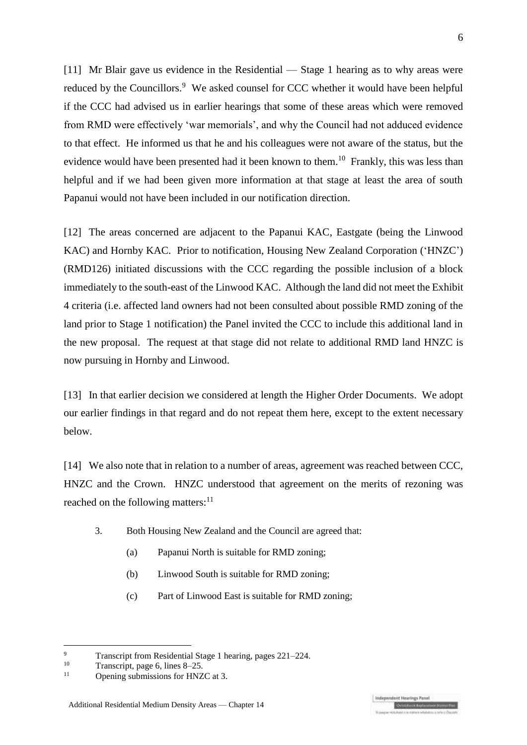[11] Mr Blair gave us evidence in the Residential — Stage 1 hearing as to why areas were reduced by the Councillors.<sup>9</sup> We asked counsel for CCC whether it would have been helpful if the CCC had advised us in earlier hearings that some of these areas which were removed from RMD were effectively 'war memorials', and why the Council had not adduced evidence to that effect. He informed us that he and his colleagues were not aware of the status, but the evidence would have been presented had it been known to them.<sup>10</sup> Frankly, this was less than helpful and if we had been given more information at that stage at least the area of south Papanui would not have been included in our notification direction.

[12] The areas concerned are adjacent to the Papanui KAC, Eastgate (being the Linwood KAC) and Hornby KAC. Prior to notification, Housing New Zealand Corporation ('HNZC') (RMD126) initiated discussions with the CCC regarding the possible inclusion of a block immediately to the south-east of the Linwood KAC. Although the land did not meet the Exhibit 4 criteria (i.e. affected land owners had not been consulted about possible RMD zoning of the land prior to Stage 1 notification) the Panel invited the CCC to include this additional land in the new proposal. The request at that stage did not relate to additional RMD land HNZC is now pursuing in Hornby and Linwood.

[13] In that earlier decision we considered at length the Higher Order Documents. We adopt our earlier findings in that regard and do not repeat them here, except to the extent necessary below.

<span id="page-5-0"></span>[14] We also note that in relation to a number of areas, agreement was reached between CCC, HNZC and the Crown. HNZC understood that agreement on the merits of rezoning was reached on the following matters: $11$ 

- 3. Both Housing New Zealand and the Council are agreed that:
	- (a) Papanui North is suitable for RMD zoning;
	- (b) Linwood South is suitable for RMD zoning;
	- (c) Part of Linwood East is suitable for RMD zoning;

**Indeper** 

 $\overline{Q}$ <sup>9</sup> Transcript from Residential Stage 1 hearing, pages 221–224.

<sup>&</sup>lt;sup>10</sup> Transcript, page 6, lines  $8-25$ .

Opening submissions for HNZC at 3.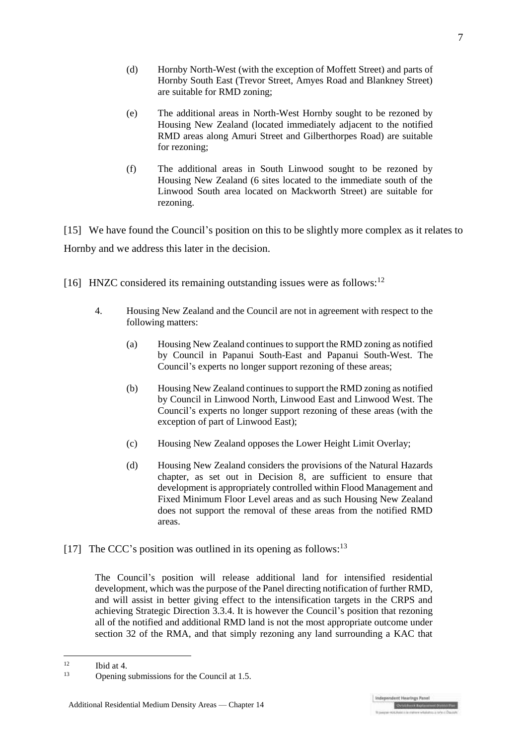- (d) Hornby North-West (with the exception of Moffett Street) and parts of Hornby South East (Trevor Street, Amyes Road and Blankney Street) are suitable for RMD zoning;
- (e) The additional areas in North-West Hornby sought to be rezoned by Housing New Zealand (located immediately adjacent to the notified RMD areas along Amuri Street and Gilberthorpes Road) are suitable for rezoning;
- (f) The additional areas in South Linwood sought to be rezoned by Housing New Zealand (6 sites located to the immediate south of the Linwood South area located on Mackworth Street) are suitable for rezoning.

[15] We have found the Council's position on this to be slightly more complex as it relates to Hornby and we address this later in the decision.

- [16] HNZC considered its remaining outstanding issues were as follows:  $12$ 
	- 4. Housing New Zealand and the Council are not in agreement with respect to the following matters:
		- (a) Housing New Zealand continues to support the RMD zoning as notified by Council in Papanui South-East and Papanui South-West. The Council's experts no longer support rezoning of these areas;
		- (b) Housing New Zealand continues to support the RMD zoning as notified by Council in Linwood North, Linwood East and Linwood West. The Council's experts no longer support rezoning of these areas (with the exception of part of Linwood East);
		- (c) Housing New Zealand opposes the Lower Height Limit Overlay;
		- (d) Housing New Zealand considers the provisions of the Natural Hazards chapter, as set out in Decision  $\overline{8}$ , are sufficient to ensure that development is appropriately controlled within Flood Management and Fixed Minimum Floor Level areas and as such Housing New Zealand does not support the removal of these areas from the notified RMD areas.
- [17] The CCC's position was outlined in its opening as follows:  $13$

The Council's position will release additional land for intensified residential development, which was the purpose of the Panel directing notification of further RMD, and will assist in better giving effect to the intensification targets in the CRPS and achieving Strategic Direction 3.3.4. It is however the Council's position that rezoning all of the notified and additional RMD land is not the most appropriate outcome under section 32 of the RMA, and that simply rezoning any land surrounding a KAC that

 $12$  $12$  Ibid at 4.

Opening submissions for the Council at 1.5.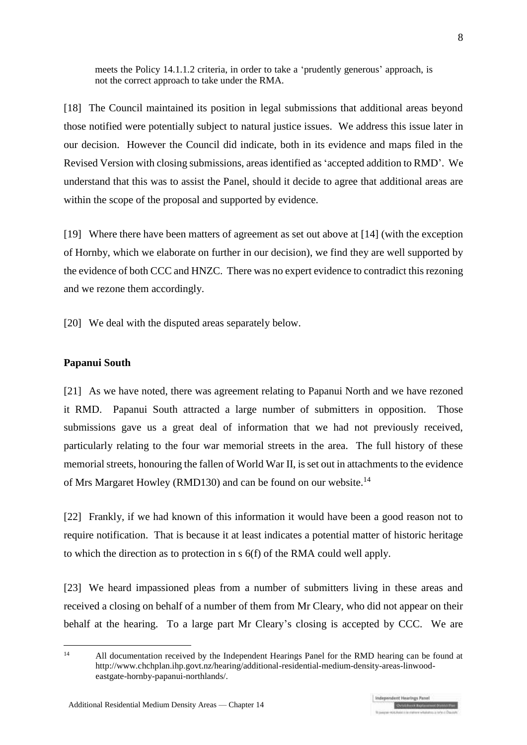meets the Policy 14.1.1.2 criteria, in order to take a 'prudently generous' approach, is not the correct approach to take under the RMA.

[18] The Council maintained its position in legal submissions that additional areas beyond those notified were potentially subject to natural justice issues. We address this issue later in our decision. However the Council did indicate, both in its evidence and maps filed in the Revised Version with closing submissions, areas identified as 'accepted addition to RMD'. We understand that this was to assist the Panel, should it decide to agree that additional areas are within the scope of the proposal and supported by evidence.

[19] Where there have been matters of agreement as set out above at [\[14\]](#page-5-0) (with the exception of Hornby, which we elaborate on further in our decision), we find they are well supported by the evidence of both CCC and HNZC. There was no expert evidence to contradict this rezoning and we rezone them accordingly.

[20] We deal with the disputed areas separately below.

#### **Papanui South**

[21] As we have noted, there was agreement relating to Papanui North and we have rezoned it RMD. Papanui South attracted a large number of submitters in opposition. Those submissions gave us a great deal of information that we had not previously received, particularly relating to the four war memorial streets in the area. The full history of these memorial streets, honouring the fallen of World War II, is set out in attachments to the evidence of Mrs Margaret Howley (RMD130) and can be found on our website.<sup>14</sup>

[22] Frankly, if we had known of this information it would have been a good reason not to require notification. That is because it at least indicates a potential matter of historic heritage to which the direction as to protection in s 6(f) of the RMA could well apply.

[23] We heard impassioned pleas from a number of submitters living in these areas and received a closing on behalf of a number of them from Mr Cleary, who did not appear on their behalf at the hearing. To a large part Mr Cleary's closing is accepted by CCC. We are

 $\overline{14}$ <sup>14</sup> All documentation received by the Independent Hearings Panel for the RMD hearing can be found at http://www.chchplan.ihp.govt.nz/hearing/additional-residential-medium-density-areas-linwoodeastgate-hornby-papanui-northlands/.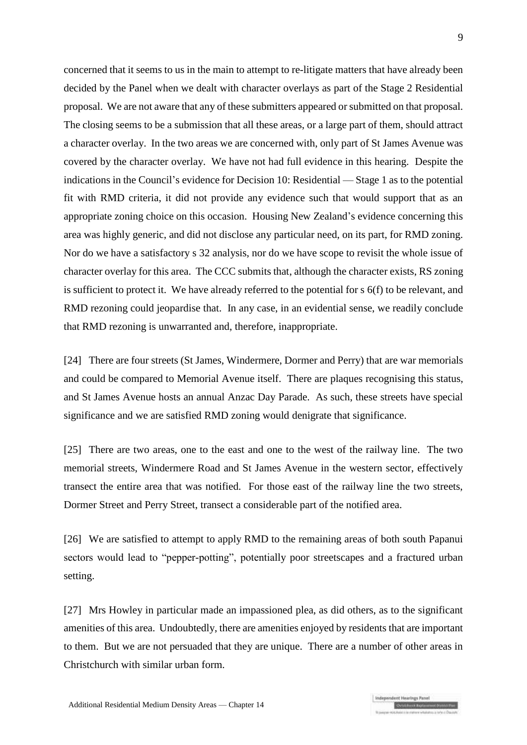concerned that it seems to us in the main to attempt to re-litigate matters that have already been decided by the Panel when we dealt with character overlays as part of the Stage 2 Residential proposal. We are not aware that any of these submitters appeared or submitted on that proposal. The closing seems to be a submission that all these areas, or a large part of them, should attract a character overlay. In the two areas we are concerned with, only part of St James Avenue was covered by the character overlay. We have not had full evidence in this hearing. Despite the indications in the Council's evidence for Decision 10: Residential — Stage 1 as to the potential fit with RMD criteria, it did not provide any evidence such that would support that as an appropriate zoning choice on this occasion. Housing New Zealand's evidence concerning this area was highly generic, and did not disclose any particular need, on its part, for RMD zoning. Nor do we have a satisfactory s 32 analysis, nor do we have scope to revisit the whole issue of character overlay for this area. The CCC submits that, although the character exists, RS zoning is sufficient to protect it. We have already referred to the potential for s 6(f) to be relevant, and RMD rezoning could jeopardise that. In any case, in an evidential sense, we readily conclude that RMD rezoning is unwarranted and, therefore, inappropriate.

[24] There are four streets (St James, Windermere, Dormer and Perry) that are war memorials and could be compared to Memorial Avenue itself. There are plaques recognising this status, and St James Avenue hosts an annual Anzac Day Parade. As such, these streets have special significance and we are satisfied RMD zoning would denigrate that significance.

[25] There are two areas, one to the east and one to the west of the railway line. The two memorial streets, Windermere Road and St James Avenue in the western sector, effectively transect the entire area that was notified. For those east of the railway line the two streets, Dormer Street and Perry Street, transect a considerable part of the notified area.

[26] We are satisfied to attempt to apply RMD to the remaining areas of both south Papanui sectors would lead to "pepper-potting", potentially poor streetscapes and a fractured urban setting.

[27] Mrs Howley in particular made an impassioned plea, as did others, as to the significant amenities of this area. Undoubtedly, there are amenities enjoyed by residents that are important to them. But we are not persuaded that they are unique. There are a number of other areas in Christchurch with similar urban form.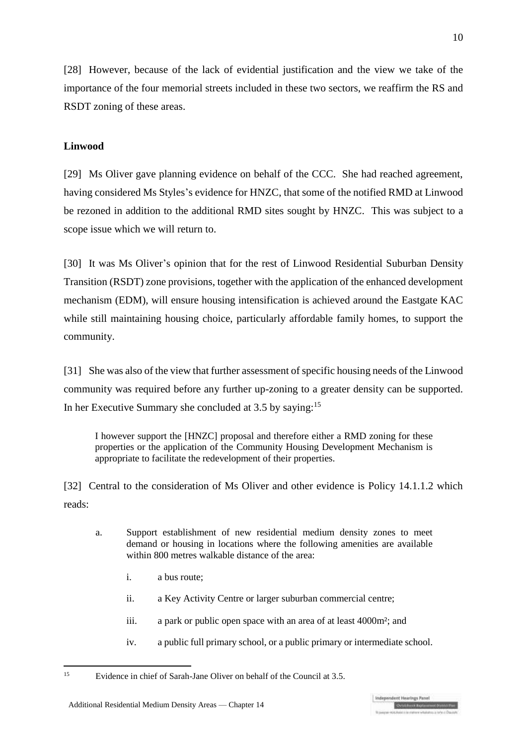[28] However, because of the lack of evidential justification and the view we take of the importance of the four memorial streets included in these two sectors, we reaffirm the RS and RSDT zoning of these areas.

### **Linwood**

[29] Ms Oliver gave planning evidence on behalf of the CCC. She had reached agreement, having considered Ms Styles's evidence for HNZC, that some of the notified RMD at Linwood be rezoned in addition to the additional RMD sites sought by HNZC. This was subject to a scope issue which we will return to.

[30] It was Ms Oliver's opinion that for the rest of Linwood Residential Suburban Density Transition (RSDT) zone provisions, together with the application of the enhanced development mechanism (EDM), will ensure housing intensification is achieved around the Eastgate KAC while still maintaining housing choice, particularly affordable family homes, to support the community.

[31] She was also of the view that further assessment of specific housing needs of the Linwood community was required before any further up-zoning to a greater density can be supported. In her Executive Summary she concluded at 3.5 by saying:<sup>15</sup>

I however support the [HNZC] proposal and therefore either a RMD zoning for these properties or the application of the Community Housing Development Mechanism is appropriate to facilitate the redevelopment of their properties.

[32] Central to the consideration of Ms Oliver and other evidence is Policy 14.1.1.2 which reads:

- a. Support establishment of new residential medium density zones to meet demand or housing in locations where the following amenities are available within 800 metres walkable distance of the area:
	- i. a bus route;
	- ii. a Key Activity Centre or larger suburban commercial centre;
	- iii. a park or public open space with an area of at least 4000m²; and
	- iv. a public full primary school, or a public primary or intermediate school.

 $15$ <sup>15</sup> Evidence in chief of Sarah-Jane Oliver on behalf of the Council at 3.5.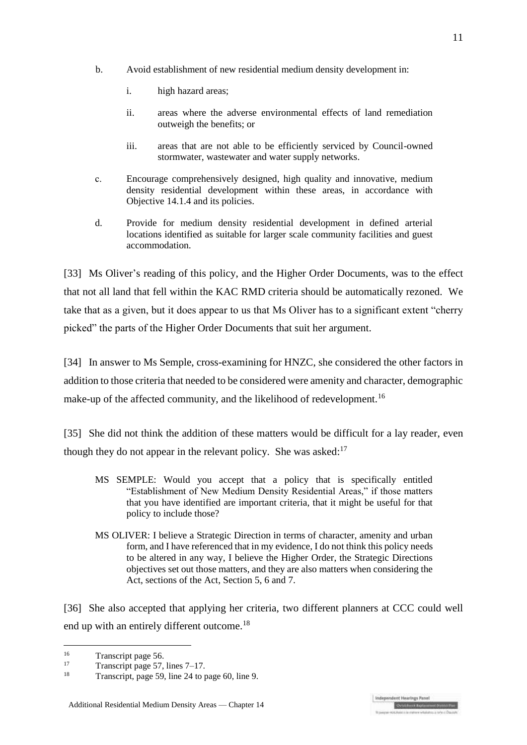- b. Avoid establishment of new residential medium density development in:
	- i. high hazard areas;
	- ii. areas where the adverse environmental effects of land remediation outweigh the benefits; or
	- iii. areas that are not able to be efficiently serviced by Council-owned stormwater, wastewater and water supply networks.
- c. Encourage comprehensively designed, high quality and innovative, medium density residential development within these areas, in accordance with Objective 14.1.4 and its policies.
- d. Provide for medium density residential development in defined arterial locations identified as suitable for larger scale community facilities and guest accommodation.

[33] Ms Oliver's reading of this policy, and the Higher Order Documents, was to the effect that not all land that fell within the KAC RMD criteria should be automatically rezoned. We take that as a given, but it does appear to us that Ms Oliver has to a significant extent "cherry picked" the parts of the Higher Order Documents that suit her argument.

[34] In answer to Ms Semple, cross-examining for HNZC, she considered the other factors in addition to those criteria that needed to be considered were amenity and character, demographic make-up of the affected community, and the likelihood of redevelopment.<sup>16</sup>

[35] She did not think the addition of these matters would be difficult for a lay reader, even though they do not appear in the relevant policy. She was asked:<sup>17</sup>

- MS SEMPLE: Would you accept that a policy that is specifically entitled "Establishment of New Medium Density Residential Areas," if those matters that you have identified are important criteria, that it might be useful for that policy to include those?
- MS OLIVER: I believe a Strategic Direction in terms of character, amenity and urban form, and I have referenced that in my evidence, I do not think this policy needs to be altered in any way, I believe the Higher Order, the Strategic Directions objectives set out those matters, and they are also matters when considering the Act, sections of the Act, Section 5, 6 and 7.

[36] She also accepted that applying her criteria, two different planners at CCC could well end up with an entirely different outcome.<sup>18</sup>

 $16$  $\frac{16}{17}$  Transcript page 56.

 $\frac{17}{18}$  Transcript page 57, lines 7–17.

Transcript, page 59, line 24 to page 60, line 9.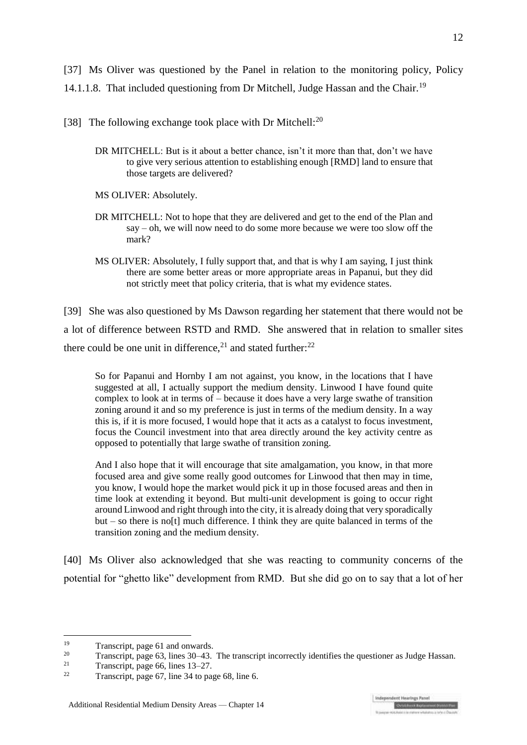[37] Ms Oliver was questioned by the Panel in relation to the monitoring policy, Policy 14.1.1.8. That included questioning from Dr Mitchell, Judge Hassan and the Chair.<sup>19</sup>

- [38] The following exchange took place with Dr Mitchell: $^{20}$ 
	- DR MITCHELL: But is it about a better chance, isn't it more than that, don't we have to give very serious attention to establishing enough [RMD] land to ensure that those targets are delivered?
	- MS OLIVER: Absolutely.
	- DR MITCHELL: Not to hope that they are delivered and get to the end of the Plan and say – oh, we will now need to do some more because we were too slow off the mark?
	- MS OLIVER: Absolutely, I fully support that, and that is why I am saying, I just think there are some better areas or more appropriate areas in Papanui, but they did not strictly meet that policy criteria, that is what my evidence states.

[39] She was also questioned by Ms Dawson regarding her statement that there would not be a lot of difference between RSTD and RMD. She answered that in relation to smaller sites there could be one unit in difference,<sup>21</sup> and stated further:<sup>22</sup>

So for Papanui and Hornby I am not against, you know, in the locations that I have suggested at all, I actually support the medium density. Linwood I have found quite complex to look at in terms of – because it does have a very large swathe of transition zoning around it and so my preference is just in terms of the medium density. In a way this is, if it is more focused, I would hope that it acts as a catalyst to focus investment, focus the Council investment into that area directly around the key activity centre as opposed to potentially that large swathe of transition zoning.

And I also hope that it will encourage that site amalgamation, you know, in that more focused area and give some really good outcomes for Linwood that then may in time, you know, I would hope the market would pick it up in those focused areas and then in time look at extending it beyond. But multi-unit development is going to occur right around Linwood and right through into the city, it is already doing that very sporadically  $but – so there is no [t] much difference. I think they are quite balanced in terms of the$ transition zoning and the medium density.

[40] Ms Oliver also acknowledged that she was reacting to community concerns of the potential for "ghetto like" development from RMD. But she did go on to say that a lot of her

<sup>19</sup> <sup>19</sup> Transcript, page 61 and onwards.<br>
<sup>20</sup> Transcript, page 62 lines 20, 42

<sup>&</sup>lt;sup>20</sup> Transcript, page 63, lines 30–43. The transcript incorrectly identifies the questioner as Judge Hassan.<br><sup>21</sup> Transcript page 66 lines 12, 27

<sup>&</sup>lt;sup>21</sup> Transcript, page 66, lines  $13-27$ .<br><sup>22</sup> Transcript, page 67, line  $34$  to peg

Transcript, page 67, line 34 to page 68, line 6.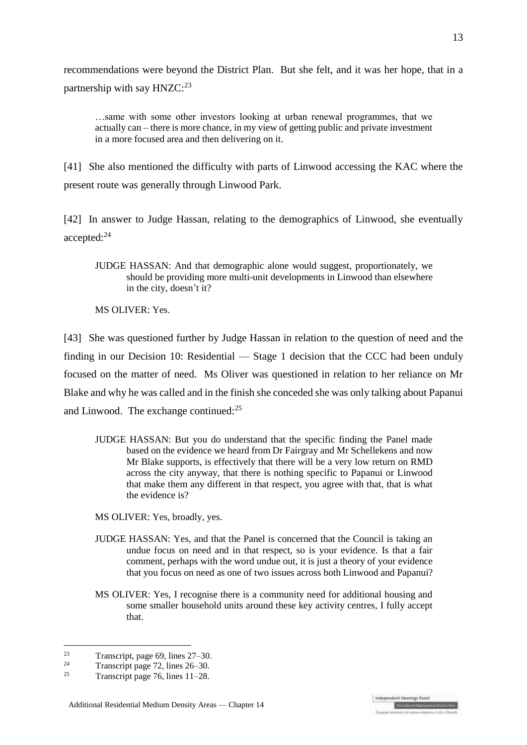recommendations were beyond the District Plan. But she felt, and it was her hope, that in a partnership with say HNZC:<sup>23</sup>

…same with some other investors looking at urban renewal programmes, that we actually can – there is more chance, in my view of getting public and private investment in a more focused area and then delivering on it.

[41] She also mentioned the difficulty with parts of Linwood accessing the KAC where the present route was generally through Linwood Park.

[42] In answer to Judge Hassan, relating to the demographics of Linwood, she eventually accepted:<sup>24</sup>

JUDGE HASSAN: And that demographic alone would suggest, proportionately, we should be providing more multi-unit developments in Linwood than elsewhere in the city, doesn't it?

MS OLIVER: Yes.

[43] She was questioned further by Judge Hassan in relation to the question of need and the finding in our Decision 10: Residential — Stage 1 decision that the CCC had been unduly focused on the matter of need. Ms Oliver was questioned in relation to her reliance on Mr Blake and why he was called and in the finish she conceded she was only talking about Papanui and Linwood. The exchange continued:<sup>25</sup>

JUDGE HASSAN: But you do understand that the specific finding the Panel made based on the evidence we heard from Dr Fairgray and Mr Schellekens and now Mr Blake supports, is effectively that there will be a very low return on RMD across the city anyway, that there is nothing specific to Papanui or Linwood that make them any different in that respect, you agree with that, that is what the evidence is?

MS OLIVER: Yes, broadly, yes.

- JUDGE HASSAN: Yes, and that the Panel is concerned that the Council is taking an undue focus on need and in that respect, so is your evidence. Is that a fair comment, perhaps with the word undue out, it is just a theory of your evidence that you focus on need as one of two issues across both Linwood and Papanui?
- MS OLIVER: Yes, I recognise there is a community need for additional housing and some smaller household units around these key activity centres, I fully accept that.

 $23$ <sup>23</sup> Transcript, page 69, lines  $27-30$ .<br><sup>24</sup> Transcript page 72, lines  $26\frac{20}{20}$ 

<sup>&</sup>lt;sup>24</sup> Transcript page 72, lines  $26-30$ .<br><sup>25</sup> Transcript page  $76$  lines 11, 28

Transcript page 76, lines 11–28.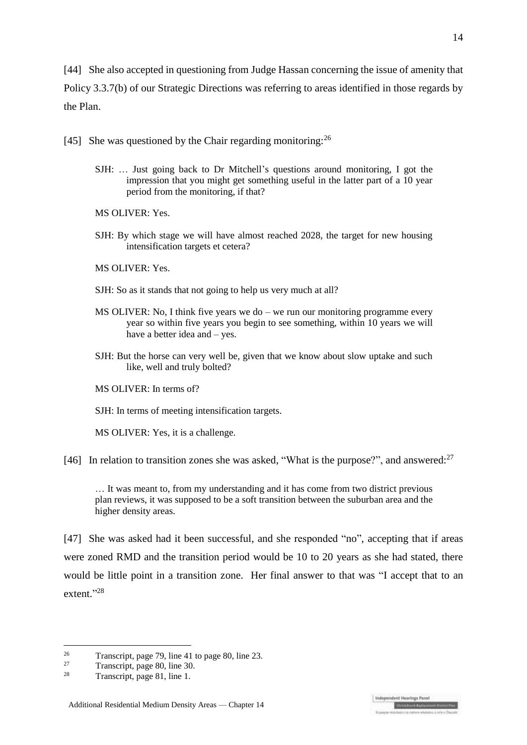[44] She also accepted in questioning from Judge Hassan concerning the issue of amenity that Policy 3.3.7(b) of our Strategic Directions was referring to areas identified in those regards by the Plan.

[45] She was questioned by the Chair regarding monitoring:  $^{26}$ 

SJH: … Just going back to Dr Mitchell's questions around monitoring, I got the impression that you might get something useful in the latter part of a 10 year period from the monitoring, if that?

MS OLIVER: Yes.

SJH: By which stage we will have almost reached 2028, the target for new housing intensification targets et cetera?

MS OLIVER: Yes.

- SJH: So as it stands that not going to help us very much at all?
- MS OLIVER: No, I think five years we do we run our monitoring programme every year so within five years you begin to see something, within 10 years we will have a better idea and – yes.
- SJH: But the horse can very well be, given that we know about slow uptake and such like, well and truly bolted?

MS OLIVER: In terms of?

SJH: In terms of meeting intensification targets.

MS OLIVER: Yes, it is a challenge.

[46] In relation to transition zones she was asked, "What is the purpose?", and answered: $27$ 

… It was meant to, from my understanding and it has come from two district previous plan reviews, it was supposed to be a soft transition between the suburban area and the higher density areas.

[47] She was asked had it been successful, and she responded "no", accepting that if areas were zoned RMD and the transition period would be 10 to 20 years as she had stated, there would be little point in a transition zone. Her final answer to that was "I accept that to an extent."28

 $26$ <sup>26</sup> Transcript, page 79, line 41 to page 80, line 23.

<sup>&</sup>lt;sup>27</sup> Transcript, page 80, line 30.<br>Transcript, page 81, line 1

Transcript, page 81, line 1.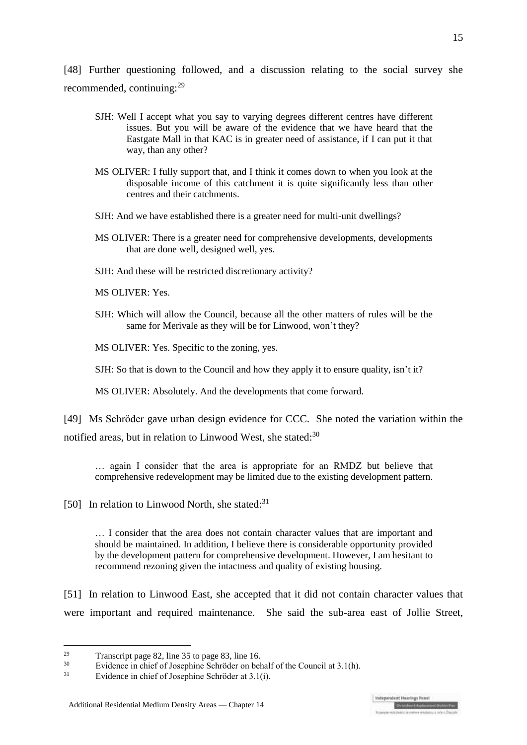[48] Further questioning followed, and a discussion relating to the social survey she recommended, continuing:<sup>29</sup>

- SJH: Well I accept what you say to varying degrees different centres have different issues. But you will be aware of the evidence that we have heard that the Eastgate Mall in that KAC is in greater need of assistance, if I can put it that way, than any other?
- MS OLIVER: I fully support that, and I think it comes down to when you look at the disposable income of this catchment it is quite significantly less than other centres and their catchments.
- SJH: And we have established there is a greater need for multi-unit dwellings?
- MS OLIVER: There is a greater need for comprehensive developments, developments that are done well, designed well, yes.
- SJH: And these will be restricted discretionary activity?

MS OLIVER: Yes.

SJH: Which will allow the Council, because all the other matters of rules will be the same for Merivale as they will be for Linwood, won't they?

MS OLIVER: Yes. Specific to the zoning, yes.

SJH: So that is down to the Council and how they apply it to ensure quality, isn't it?

MS OLIVER: Absolutely. And the developments that come forward.

[49] Ms Schröder gave urban design evidence for CCC. She noted the variation within the notified areas, but in relation to Linwood West, she stated:<sup>30</sup>

… again I consider that the area is appropriate for an RMDZ but believe that comprehensive redevelopment may be limited due to the existing development pattern.

[50] In relation to Linwood North, she stated: $31$ 

… I consider that the area does not contain character values that are important and should be maintained. In addition, I believe there is considerable opportunity provided by the development pattern for comprehensive development. However, I am hesitant to recommend rezoning given the intactness and quality of existing housing.

[51] In relation to Linwood East, she accepted that it did not contain character values that were important and required maintenance. She said the sub-area east of Jollie Street,

 $29$ <sup>29</sup> Transcript page 82, line 35 to page 83, line 16.<br> $\frac{30}{2}$  Evidence in object of Jacophine Sebräder on below

<sup>&</sup>lt;sup>30</sup> Evidence in chief of Josephine Schröder on behalf of the Council at  $3.1(h)$ .

Evidence in chief of Josephine Schröder at 3.1(i).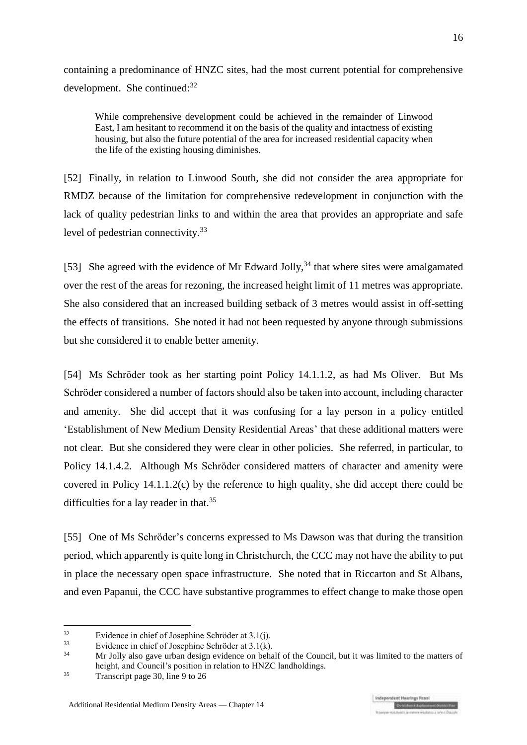containing a predominance of HNZC sites, had the most current potential for comprehensive development. She continued: $32$ 

While comprehensive development could be achieved in the remainder of Linwood East, I am hesitant to recommend it on the basis of the quality and intactness of existing housing, but also the future potential of the area for increased residential capacity when the life of the existing housing diminishes.

[52] Finally, in relation to Linwood South, she did not consider the area appropriate for RMDZ because of the limitation for comprehensive redevelopment in conjunction with the lack of quality pedestrian links to and within the area that provides an appropriate and safe level of pedestrian connectivity.<sup>33</sup>

[53] She agreed with the evidence of Mr Edward Jolly,<sup>34</sup> that where sites were amalgamated over the rest of the areas for rezoning, the increased height limit of 11 metres was appropriate. She also considered that an increased building setback of 3 metres would assist in off-setting the effects of transitions. She noted it had not been requested by anyone through submissions but she considered it to enable better amenity.

[54] Ms Schröder took as her starting point Policy 14.1.1.2, as had Ms Oliver. But Ms Schröder considered a number of factors should also be taken into account, including character and amenity. She did accept that it was confusing for a lay person in a policy entitled 'Establishment of New Medium Density Residential Areas' that these additional matters were not clear. But she considered they were clear in other policies. She referred, in particular, to Policy 14.1.4.2. Although Ms Schröder considered matters of character and amenity were covered in Policy 14.1.1.2(c) by the reference to high quality, she did accept there could be difficulties for a lay reader in that.<sup>35</sup>

[55] One of Ms Schröder's concerns expressed to Ms Dawson was that during the transition period, which apparently is quite long in Christchurch, the CCC may not have the ability to put in place the necessary open space infrastructure. She noted that in Riccarton and St Albans, and even Papanui, the CCC have substantive programmes to effect change to make those open

<u>.</u>

 $32$  Evidence in chief of Josephine Schröder at  $3.1(j)$ .<br> $33$  Evidence in chief of Josephine Schröder at  $2.1(j)$ .

 $33$  Evidence in chief of Josephine Schröder at  $3.1(k)$ .

<sup>34</sup> Mr Jolly also gave urban design evidence on behalf of the Council, but it was limited to the matters of height, and Council's position in relation to HNZC landholdings.

<sup>&</sup>lt;sup>35</sup> Transcript page 30, line 9 to 26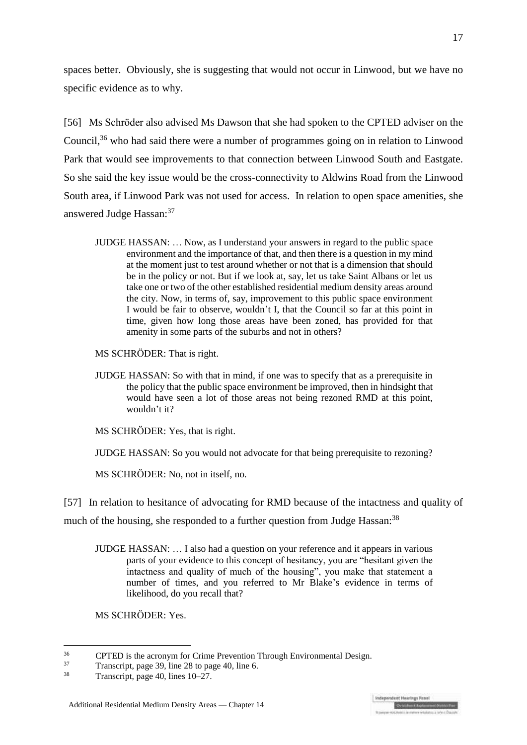spaces better. Obviously, she is suggesting that would not occur in Linwood, but we have no specific evidence as to why.

[56] Ms Schröder also advised Ms Dawson that she had spoken to the CPTED adviser on the Council, <sup>36</sup> who had said there were a number of programmes going on in relation to Linwood Park that would see improvements to that connection between Linwood South and Eastgate. So she said the key issue would be the cross-connectivity to Aldwins Road from the Linwood South area, if Linwood Park was not used for access. In relation to open space amenities, she answered Judge Hassan: 37

JUDGE HASSAN: … Now, as I understand your answers in regard to the public space environment and the importance of that, and then there is a question in my mind at the moment just to test around whether or not that is a dimension that should be in the policy or not. But if we look at, say, let us take Saint Albans or let us take one or two of the other established residential medium density areas around the city. Now, in terms of, say, improvement to this public space environment I would be fair to observe, wouldn't I, that the Council so far at this point in time, given how long those areas have been zoned, has provided for that amenity in some parts of the suburbs and not in others?

MS SCHRӦDER: That is right.

JUDGE HASSAN: So with that in mind, if one was to specify that as a prerequisite in the policy that the public space environment be improved, then in hindsight that would have seen a lot of those areas not being rezoned RMD at this point, wouldn't it?

MS SCHRӦDER: Yes, that is right.

JUDGE HASSAN: So you would not advocate for that being prerequisite to rezoning?

MS SCHRӦDER: No, not in itself, no.

[57] In relation to hesitance of advocating for RMD because of the intactness and quality of

much of the housing, she responded to a further question from Judge Hassan:<sup>38</sup>

JUDGE HASSAN: … I also had a question on your reference and it appears in various parts of your evidence to this concept of hesitancy, you are "hesitant given the intactness and quality of much of the housing", you make that statement a number of times, and you referred to Mr Blake's evidence in terms of likelihood, do you recall that?

MS SCHRӦDER: Yes.

 $36$ <sup>36</sup> CPTED is the acronym for Crime Prevention Through Environmental Design.<br><sup>37</sup> Transmitt, nogo 20, line 28 to nogo 40, line 6

 $37 \t\tTranscript$ , page 39, line 28 to page 40, line 6.<br> $38 \t\t Transcript{28}$  Transmitt, page 40, lines 10, 27

Transcript, page 40, lines 10–27.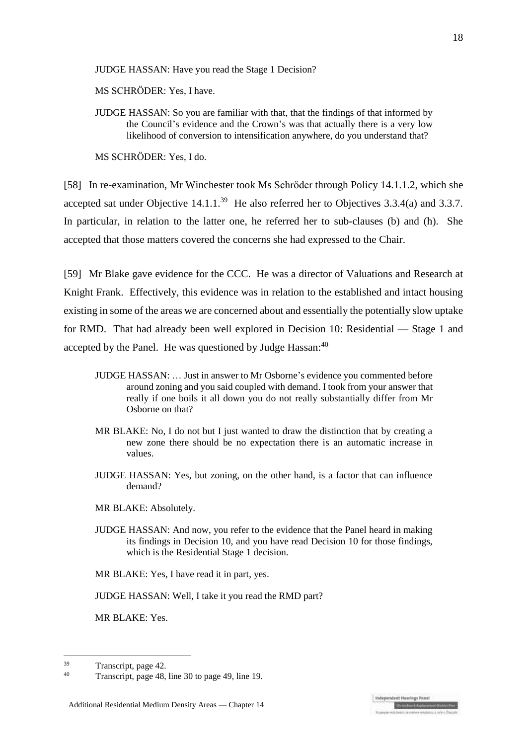JUDGE HASSAN: Have you read the Stage 1 Decision?

MS SCHRӦDER: Yes, I have.

JUDGE HASSAN: So you are familiar with that, that the findings of that informed by the Council's evidence and the Crown's was that actually there is a very low likelihood of conversion to intensification anywhere, do you understand that?

MS SCHRӦDER: Yes, I do.

[58] In re-examination, Mr Winchester took Ms Schröder through Policy 14.1.1.2, which she accepted sat under Objective  $14.1.1^{39}$  He also referred her to Objectives 3.3.4(a) and 3.3.7. In particular, in relation to the latter one, he referred her to sub-clauses (b) and (h). She accepted that those matters covered the concerns she had expressed to the Chair.

[59] Mr Blake gave evidence for the CCC. He was a director of Valuations and Research at Knight Frank. Effectively, this evidence was in relation to the established and intact housing existing in some of the areas we are concerned about and essentially the potentially slow uptake for RMD. That had already been well explored in Decision 10: Residential — Stage 1 and accepted by the Panel. He was questioned by Judge Hassan:<sup>40</sup>

- JUDGE HASSAN: … Just in answer to Mr Osborne's evidence you commented before around zoning and you said coupled with demand. I took from your answer that really if one boils it all down you do not really substantially differ from Mr Osborne on that?
- MR BLAKE: No, I do not but I just wanted to draw the distinction that by creating a new zone there should be no expectation there is an automatic increase in values.
- JUDGE HASSAN: Yes, but zoning, on the other hand, is a factor that can influence demand?
- MR BLAKE: Absolutely.
- JUDGE HASSAN: And now, you refer to the evidence that the Panel heard in making its findings in Decision 10, and you have read Decision 10 for those findings, which is the Residential Stage 1 decision.

MR BLAKE: Yes, I have read it in part, yes.

JUDGE HASSAN: Well, I take it you read the RMD part?

MR BLAKE: Yes.

 $39$  Transcript, page 42.

<sup>40</sup> Transcript, page 48, line 30 to page 49, line 19.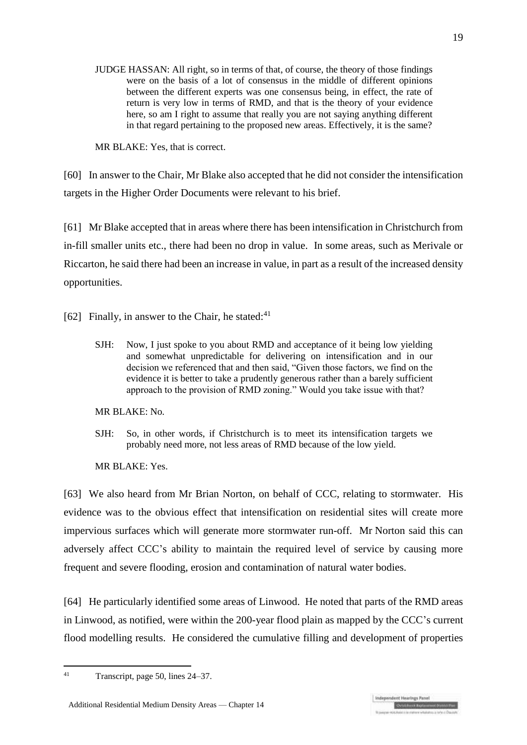JUDGE HASSAN: All right, so in terms of that, of course, the theory of those findings were on the basis of a lot of consensus in the middle of different opinions between the different experts was one consensus being, in effect, the rate of return is very low in terms of RMD, and that is the theory of your evidence here, so am I right to assume that really you are not saying anything different in that regard pertaining to the proposed new areas. Effectively, it is the same?

MR BLAKE: Yes, that is correct.

[60] In answer to the Chair, Mr Blake also accepted that he did not consider the intensification targets in the Higher Order Documents were relevant to his brief.

[61] Mr Blake accepted that in areas where there has been intensification in Christchurch from in-fill smaller units etc., there had been no drop in value. In some areas, such as Merivale or Riccarton, he said there had been an increase in value, in part as a result of the increased density opportunities.

[62] Finally, in answer to the Chair, he stated: $41$ 

SJH: Now, I just spoke to you about RMD and acceptance of it being low yielding and somewhat unpredictable for delivering on intensification and in our decision we referenced that and then said, "Given those factors, we find on the evidence it is better to take a prudently generous rather than a barely sufficient approach to the provision of RMD zoning." Would you take issue with that?

MR BLAKE: No.

SJH: So, in other words, if Christchurch is to meet its intensification targets we probably need more, not less areas of RMD because of the low yield.

MR BLAKE: Yes.

[63] We also heard from Mr Brian Norton, on behalf of CCC, relating to stormwater. His evidence was to the obvious effect that intensification on residential sites will create more impervious surfaces which will generate more stormwater run-off. Mr Norton said this can adversely affect CCC's ability to maintain the required level of service by causing more frequent and severe flooding, erosion and contamination of natural water bodies.

[64] He particularly identified some areas of Linwood. He noted that parts of the RMD areas in Linwood, as notified, were within the 200-year flood plain as mapped by the CCC's current flood modelling results. He considered the cumulative filling and development of properties

 $41$ Transcript, page 50, lines 24–37.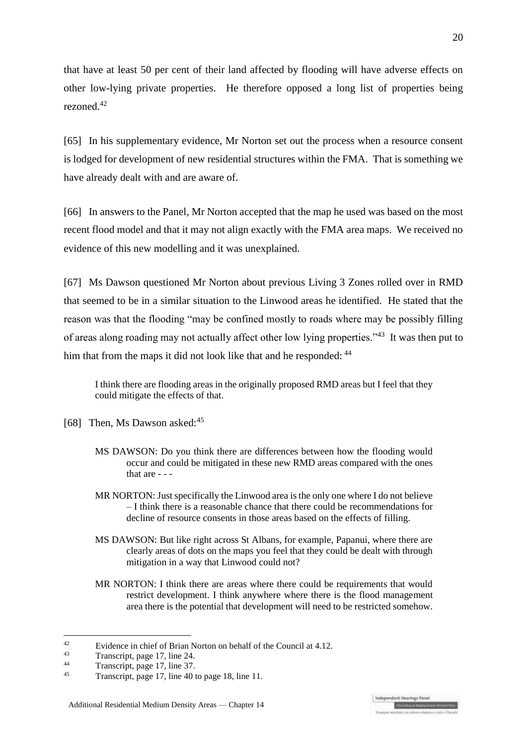that have at least 50 per cent of their land affected by flooding will have adverse effects on other low-lying private properties. He therefore opposed a long list of properties being rezoned.<sup>42</sup>

[65] In his supplementary evidence, Mr Norton set out the process when a resource consent is lodged for development of new residential structures within the FMA. That is something we have already dealt with and are aware of.

[66] In answers to the Panel, Mr Norton accepted that the map he used was based on the most recent flood model and that it may not align exactly with the FMA area maps. We received no evidence of this new modelling and it was unexplained.

[67] Ms Dawson questioned Mr Norton about previous Living 3 Zones rolled over in RMD that seemed to be in a similar situation to the Linwood areas he identified. He stated that the reason was that the flooding "may be confined mostly to roads where may be possibly filling of areas along roading may not actually affect other low lying properties."<sup>43</sup> It was then put to him that from the maps it did not look like that and he responded:  $44$ 

I think there are flooding areas in the originally proposed RMD areas but I feel that they could mitigate the effects of that.

- [68] Then, Ms Dawson asked:<sup>45</sup>
	- MS DAWSON: Do you think there are differences between how the flooding would occur and could be mitigated in these new RMD areas compared with the ones that are - - -
	- MR NORTON: Just specifically the Linwood area is the only one where I do not believe – I think there is a reasonable chance that there could be recommendations for decline of resource consents in those areas based on the effects of filling.
	- MS DAWSON: But like right across St Albans, for example, Papanui, where there are clearly areas of dots on the maps you feel that they could be dealt with through mitigation in a way that Linwood could not?
	- MR NORTON: I think there are areas where there could be requirements that would restrict development. I think anywhere where there is the flood management area there is the potential that development will need to be restricted somehow.

 $42$ <sup>42</sup> Evidence in chief of Brian Norton on behalf of the Council at 4.12.

 $\frac{43}{44}$  Transcript, page 17, line 24.

 $^{44}$  Transcript, page 17, line 37.

Transcript, page 17, line 40 to page 18, line 11.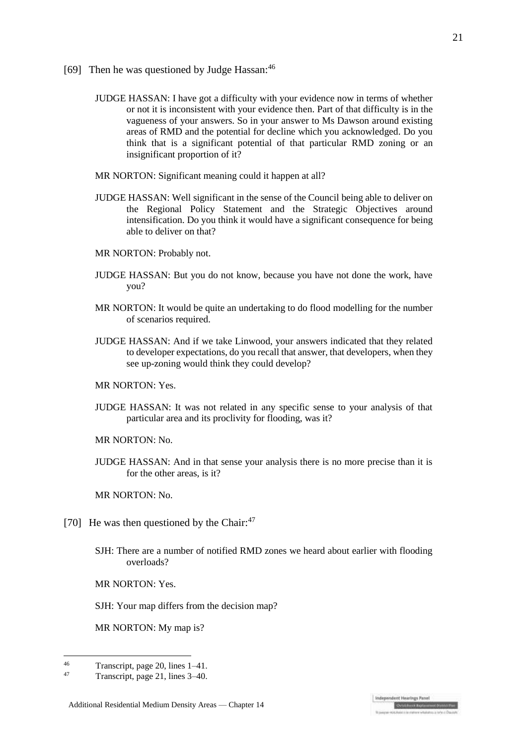- [69] Then he was questioned by Judge Hassan:<sup>46</sup>
	- JUDGE HASSAN: I have got a difficulty with your evidence now in terms of whether or not it is inconsistent with your evidence then. Part of that difficulty is in the vagueness of your answers. So in your answer to Ms Dawson around existing areas of RMD and the potential for decline which you acknowledged. Do you think that is a significant potential of that particular RMD zoning or an insignificant proportion of it?
	- MR NORTON: Significant meaning could it happen at all?
	- JUDGE HASSAN: Well significant in the sense of the Council being able to deliver on the Regional Policy Statement and the Strategic Objectives around intensification. Do you think it would have a significant consequence for being able to deliver on that?
	- MR NORTON: Probably not.
	- JUDGE HASSAN: But you do not know, because you have not done the work, have you?
	- MR NORTON: It would be quite an undertaking to do flood modelling for the number of scenarios required.
	- JUDGE HASSAN: And if we take Linwood, your answers indicated that they related to developer expectations, do you recall that answer, that developers, when they see up-zoning would think they could develop?
	- MR NORTON: Yes.
	- JUDGE HASSAN: It was not related in any specific sense to your analysis of that particular area and its proclivity for flooding, was it?

MR NORTON: No.

JUDGE HASSAN: And in that sense your analysis there is no more precise than it is for the other areas, is it?

MR NORTON: No.

- [70] He was then questioned by the Chair:<sup>47</sup>
	- SJH: There are a number of notified RMD zones we heard about earlier with flooding overloads?

MR NORTON: Yes.

SJH: Your map differs from the decision map?

MR NORTON: My map is?

 $^{46}$  Transcript, page 20, lines 1–41.

<sup>47</sup> Transcript, page 21, lines 3–40.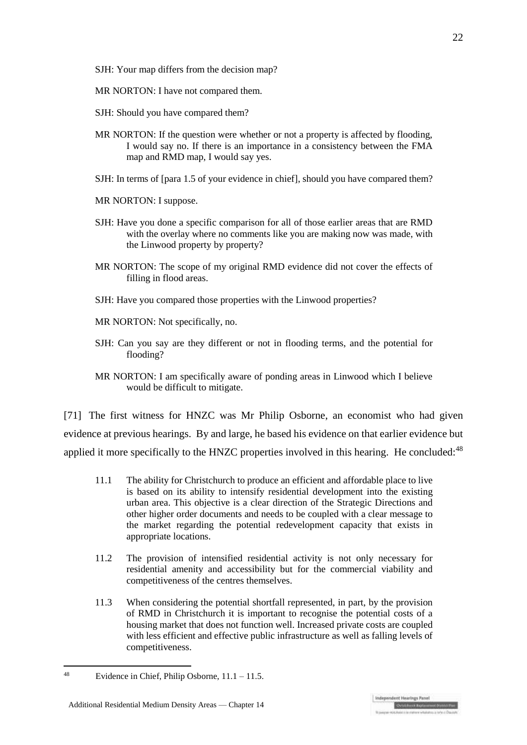- SJH: Your map differs from the decision map?
- MR NORTON: I have not compared them.
- SJH: Should you have compared them?
- MR NORTON: If the question were whether or not a property is affected by flooding, I would say no. If there is an importance in a consistency between the FMA map and RMD map, I would say yes.
- SJH: In terms of [para 1.5 of your evidence in chief], should you have compared them?
- MR NORTON: I suppose.
- SJH: Have you done a specific comparison for all of those earlier areas that are RMD with the overlay where no comments like you are making now was made, with the Linwood property by property?
- MR NORTON: The scope of my original RMD evidence did not cover the effects of filling in flood areas.
- SJH: Have you compared those properties with the Linwood properties?
- MR NORTON: Not specifically, no.
- SJH: Can you say are they different or not in flooding terms, and the potential for flooding?
- MR NORTON: I am specifically aware of ponding areas in Linwood which I believe would be difficult to mitigate.

[71] The first witness for HNZC was Mr Philip Osborne, an economist who had given evidence at previous hearings. By and large, he based his evidence on that earlier evidence but applied it more specifically to the HNZC properties involved in this hearing. He concluded:<sup>48</sup>

- 11.1 The ability for Christchurch to produce an efficient and affordable place to live is based on its ability to intensify residential development into the existing urban area. This objective is a clear direction of the Strategic Directions and other higher order documents and needs to be coupled with a clear message to the market regarding the potential redevelopment capacity that exists in appropriate locations.
- 11.2 The provision of intensified residential activity is not only necessary for residential amenity and accessibility but for the commercial viability and competitiveness of the centres themselves.
- 11.3 When considering the potential shortfall represented, in part, by the provision of RMD in Christchurch it is important to recognise the potential costs of a housing market that does not function well. Increased private costs are coupled with less efficient and effective public infrastructure as well as falling levels of competitiveness.

<sup>48</sup> Evidence in Chief, Philip Osborne,  $11.1 - 11.5$ .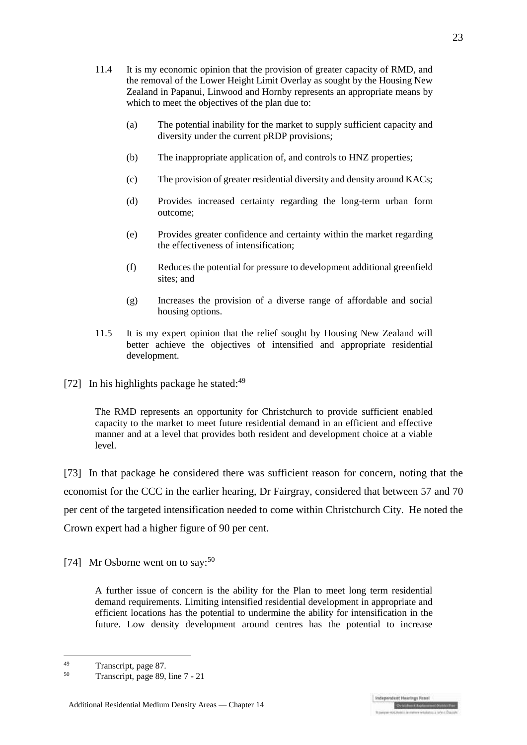- 11.4 It is my economic opinion that the provision of greater capacity of RMD, and the removal of the Lower Height Limit Overlay as sought by the Housing New Zealand in Papanui, Linwood and Hornby represents an appropriate means by which to meet the objectives of the plan due to:
	- (a) The potential inability for the market to supply sufficient capacity and diversity under the current pRDP provisions;
	- (b) The inappropriate application of, and controls to HNZ properties;
	- (c) The provision of greater residential diversity and density around KACs;
	- (d) Provides increased certainty regarding the long-term urban form outcome;
	- (e) Provides greater confidence and certainty within the market regarding the effectiveness of intensification;
	- (f) Reduces the potential for pressure to development additional greenfield sites; and
	- (g) Increases the provision of a diverse range of affordable and social housing options.
- 11.5 It is my expert opinion that the relief sought by Housing New Zealand will better achieve the objectives of intensified and appropriate residential development.
- [72] In his highlights package he stated: $49$

The RMD represents an opportunity for Christchurch to provide sufficient enabled capacity to the market to meet future residential demand in an efficient and effective manner and at a level that provides both resident and development choice at a viable level.

[73] In that package he considered there was sufficient reason for concern, noting that the economist for the CCC in the earlier hearing, Dr Fairgray, considered that between 57 and 70 per cent of the targeted intensification needed to come within Christchurch City. He noted the Crown expert had a higher figure of 90 per cent.

[74] Mr Osborne went on to say:<sup>50</sup>

A further issue of concern is the ability for the Plan to meet long term residential demand requirements. Limiting intensified residential development in appropriate and efficient locations has the potential to undermine the ability for intensification in the future. Low density development around centres has the potential to increase

1  $T$ ranscript, page 87.

Transcript, page 89, line 7 - 21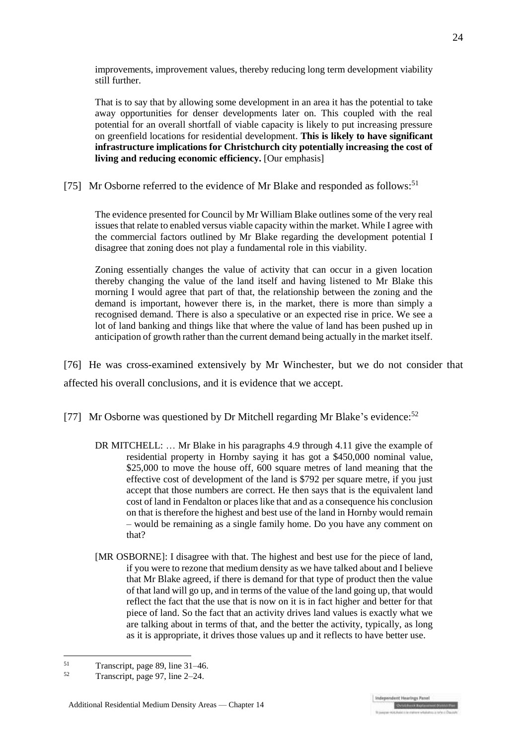improvements, improvement values, thereby reducing long term development viability still further.

That is to say that by allowing some development in an area it has the potential to take away opportunities for denser developments later on. This coupled with the real potential for an overall shortfall of viable capacity is likely to put increasing pressure on greenfield locations for residential development. **This is likely to have significant infrastructure implications for Christchurch city potentially increasing the cost of living and reducing economic efficiency.** [Our emphasis]

[75] Mr Osborne referred to the evidence of Mr Blake and responded as follows:<sup>51</sup>

The evidence presented for Council by Mr William Blake outlines some of the very real issues that relate to enabled versus viable capacity within the market. While I agree with the commercial factors outlined by Mr Blake regarding the development potential I disagree that zoning does not play a fundamental role in this viability.

Zoning essentially changes the value of activity that can occur in a given location thereby changing the value of the land itself and having listened to Mr Blake this morning I would agree that part of that, the relationship between the zoning and the demand is important, however there is, in the market, there is more than simply a recognised demand. There is also a speculative or an expected rise in price. We see a lot of land banking and things like that where the value of land has been pushed up in anticipation of growth rather than the current demand being actually in the market itself.

[76] He was cross-examined extensively by Mr Winchester, but we do not consider that affected his overall conclusions, and it is evidence that we accept.

[77] Mr Osborne was questioned by Dr Mitchell regarding Mr Blake's evidence: $52$ 

- DR MITCHELL: … Mr Blake in his paragraphs 4.9 through 4.11 give the example of residential property in Hornby saying it has got a \$450,000 nominal value, \$25,000 to move the house off, 600 square metres of land meaning that the effective cost of development of the land is \$792 per square metre, if you just accept that those numbers are correct. He then says that is the equivalent land cost of land in Fendalton or places like that and as a consequence his conclusion on that is therefore the highest and best use of the land in Hornby would remain – would be remaining as a single family home. Do you have any comment on that?
- [MR OSBORNE]: I disagree with that. The highest and best use for the piece of land, if you were to rezone that medium density as we have talked about and I believe that Mr Blake agreed, if there is demand for that type of product then the value of that land will go up, and in terms of the value of the land going up, that would reflect the fact that the use that is now on it is in fact higher and better for that piece of land. So the fact that an activity drives land values is exactly what we are talking about in terms of that, and the better the activity, typically, as long as it is appropriate, it drives those values up and it reflects to have better use.

 $T$ ranscript, page 89, line 31–46.<br> $T$ 

Transcript, page 97, line 2–24.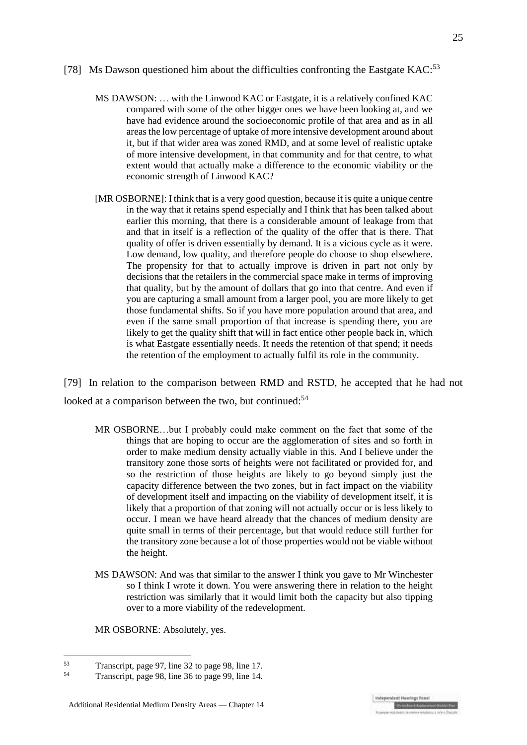- MS DAWSON: … with the Linwood KAC or Eastgate, it is a relatively confined KAC compared with some of the other bigger ones we have been looking at, and we have had evidence around the socioeconomic profile of that area and as in all areas the low percentage of uptake of more intensive development around about it, but if that wider area was zoned RMD, and at some level of realistic uptake of more intensive development, in that community and for that centre, to what extent would that actually make a difference to the economic viability or the economic strength of Linwood KAC?
- [MR OSBORNE]: I think that is a very good question, because it is quite a unique centre in the way that it retains spend especially and I think that has been talked about earlier this morning, that there is a considerable amount of leakage from that and that in itself is a reflection of the quality of the offer that is there. That quality of offer is driven essentially by demand. It is a vicious cycle as it were. Low demand, low quality, and therefore people do choose to shop elsewhere. The propensity for that to actually improve is driven in part not only by decisions that the retailers in the commercial space make in terms of improving that quality, but by the amount of dollars that go into that centre. And even if you are capturing a small amount from a larger pool, you are more likely to get those fundamental shifts. So if you have more population around that area, and even if the same small proportion of that increase is spending there, you are likely to get the quality shift that will in fact entice other people back in, which is what Eastgate essentially needs. It needs the retention of that spend; it needs the retention of the employment to actually fulfil its role in the community.

[79] In relation to the comparison between RMD and RSTD, he accepted that he had not looked at a comparison between the two, but continued:<sup>54</sup>

- MR OSBORNE…but I probably could make comment on the fact that some of the things that are hoping to occur are the agglomeration of sites and so forth in order to make medium density actually viable in this. And I believe under the transitory zone those sorts of heights were not facilitated or provided for, and so the restriction of those heights are likely to go beyond simply just the capacity difference between the two zones, but in fact impact on the viability of development itself and impacting on the viability of development itself, it is likely that a proportion of that zoning will not actually occur or is less likely to occur. I mean we have heard already that the chances of medium density are quite small in terms of their percentage, but that would reduce still further for the transitory zone because a lot of those properties would not be viable without the height.
- MS DAWSON: And was that similar to the answer I think you gave to Mr Winchester so I think I wrote it down. You were answering there in relation to the height restriction was similarly that it would limit both the capacity but also tipping over to a more viability of the redevelopment.

MR OSBORNE: Absolutely, yes.

<sup>1</sup>  $^{53}$  Transcript, page 97, line 32 to page 98, line 17.

Transcript, page 98, line 36 to page 99, line 14.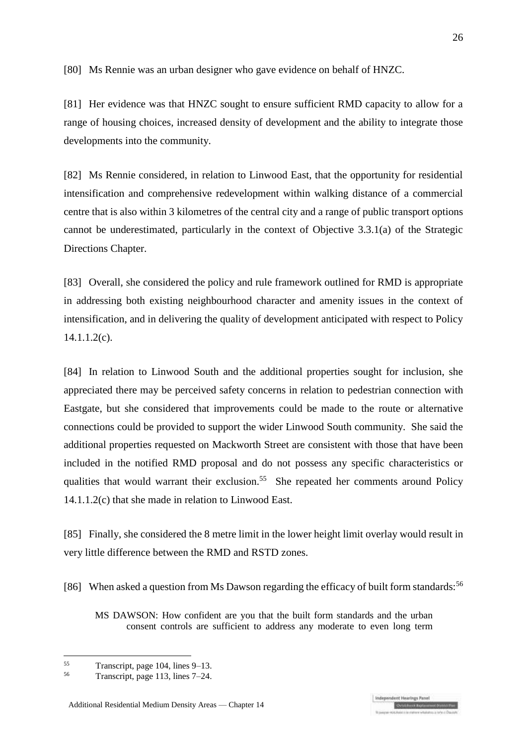[80] Ms Rennie was an urban designer who gave evidence on behalf of HNZC.

[81] Her evidence was that HNZC sought to ensure sufficient RMD capacity to allow for a range of housing choices, increased density of development and the ability to integrate those developments into the community.

[82] Ms Rennie considered, in relation to Linwood East, that the opportunity for residential intensification and comprehensive redevelopment within walking distance of a commercial centre that is also within 3 kilometres of the central city and a range of public transport options cannot be underestimated, particularly in the context of Objective 3.3.1(a) of the Strategic Directions Chapter.

[83] Overall, she considered the policy and rule framework outlined for RMD is appropriate in addressing both existing neighbourhood character and amenity issues in the context of intensification, and in delivering the quality of development anticipated with respect to Policy  $14.1.1.2(c)$ .

[84] In relation to Linwood South and the additional properties sought for inclusion, she appreciated there may be perceived safety concerns in relation to pedestrian connection with Eastgate, but she considered that improvements could be made to the route or alternative connections could be provided to support the wider Linwood South community. She said the additional properties requested on Mackworth Street are consistent with those that have been included in the notified RMD proposal and do not possess any specific characteristics or qualities that would warrant their exclusion.<sup>55</sup> She repeated her comments around Policy 14.1.1.2(c) that she made in relation to Linwood East.

[85] Finally, she considered the 8 metre limit in the lower height limit overlay would result in very little difference between the RMD and RSTD zones.

[86] When asked a question from Ms Dawson regarding the efficacy of built form standards:<sup>56</sup>

MS DAWSON: How confident are you that the built form standards and the urban consent controls are sufficient to address any moderate to even long term

 $^{55}$  Transcript, page 104, lines 9–13.<br> $^{56}$  Transcript, page 112, lines 7–24.

Transcript, page 113, lines 7–24.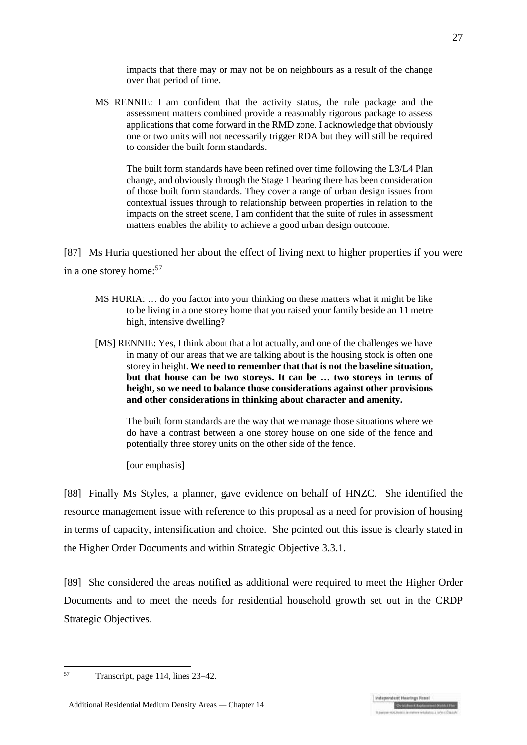impacts that there may or may not be on neighbours as a result of the change over that period of time.

MS RENNIE: I am confident that the activity status, the rule package and the assessment matters combined provide a reasonably rigorous package to assess applications that come forward in the RMD zone. I acknowledge that obviously one or two units will not necessarily trigger RDA but they will still be required to consider the built form standards.

The built form standards have been refined over time following the L3/L4 Plan change, and obviously through the Stage 1 hearing there has been consideration of those built form standards. They cover a range of urban design issues from contextual issues through to relationship between properties in relation to the impacts on the street scene, I am confident that the suite of rules in assessment matters enables the ability to achieve a good urban design outcome.

[87] Ms Huria questioned her about the effect of living next to higher properties if you were in a one storey home:<sup>57</sup>

- MS HURIA: … do you factor into your thinking on these matters what it might be like to be living in a one storey home that you raised your family beside an 11 metre high, intensive dwelling?
- [MS] RENNIE: Yes, I think about that a lot actually, and one of the challenges we have in many of our areas that we are talking about is the housing stock is often one storey in height. **We need to remember that that is not the baseline situation, but that house can be two storeys. It can be … two storeys in terms of height, so we need to balance those considerations against other provisions and other considerations in thinking about character and amenity.**

The built form standards are the way that we manage those situations where we do have a contrast between a one storey house on one side of the fence and potentially three storey units on the other side of the fence.

[our emphasis]

[88] Finally Ms Styles, a planner, gave evidence on behalf of HNZC. She identified the resource management issue with reference to this proposal as a need for provision of housing in terms of capacity, intensification and choice. She pointed out this issue is clearly stated in the Higher Order Documents and within Strategic Objective 3.3.1.

[89] She considered the areas notified as additional were required to meet the Higher Order Documents and to meet the needs for residential household growth set out in the CRDP Strategic Objectives.

<sup>57</sup> 

<sup>57</sup> Transcript, page 114, lines 23–42.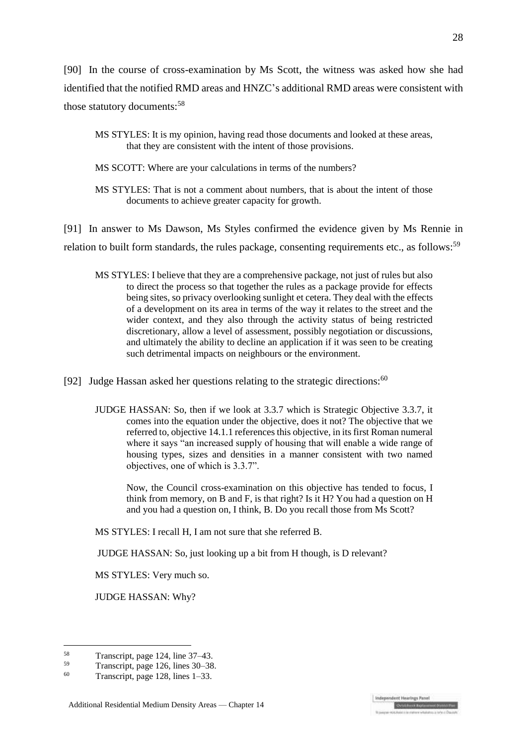[90] In the course of cross-examination by Ms Scott, the witness was asked how she had identified that the notified RMD areas and HNZC's additional RMD areas were consistent with those statutory documents:<sup>58</sup>

- MS SCOTT: Where are your calculations in terms of the numbers?
- MS STYLES: That is not a comment about numbers, that is about the intent of those documents to achieve greater capacity for growth.

[91] In answer to Ms Dawson, Ms Styles confirmed the evidence given by Ms Rennie in relation to built form standards, the rules package, consenting requirements etc., as follows:<sup>59</sup>

- MS STYLES: I believe that they are a comprehensive package, not just of rules but also to direct the process so that together the rules as a package provide for effects being sites, so privacy overlooking sunlight et cetera. They deal with the effects of a development on its area in terms of the way it relates to the street and the wider context, and they also through the activity status of being restricted discretionary, allow a level of assessment, possibly negotiation or discussions, and ultimately the ability to decline an application if it was seen to be creating such detrimental impacts on neighbours or the environment.
- [92] Judge Hassan asked her questions relating to the strategic directions:  $60$ 
	- JUDGE HASSAN: So, then if we look at 3.3.7 which is Strategic Objective 3.3.7, it comes into the equation under the objective, does it not? The objective that we referred to, objective 14.1.1 references this objective, in its first Roman numeral where it says "an increased supply of housing that will enable a wide range of housing types, sizes and densities in a manner consistent with two named objectives, one of which is 3.3.7".

Now, the Council cross-examination on this objective has tended to focus, I think from memory, on B and F, is that right? Is it H? You had a question on H and you had a question on, I think, B. Do you recall those from Ms Scott?

MS STYLES: I recall H, I am not sure that she referred B.

JUDGE HASSAN: So, just looking up a bit from H though, is D relevant?

MS STYLES: Very much so.

JUDGE HASSAN: Why?

MS STYLES: It is my opinion, having read those documents and looked at these areas, that they are consistent with the intent of those provisions.

 $58$  $^{58}$  Transcript, page 124, line 37–43.<br> $^{59}$  Transcript, page 126, lines 20, 28

 $^{59}$  Transcript, page 126, lines 30–38.<br> $^{60}$  Transcript, noge 129, lines 1.22.

Transcript, page 128, lines 1–33.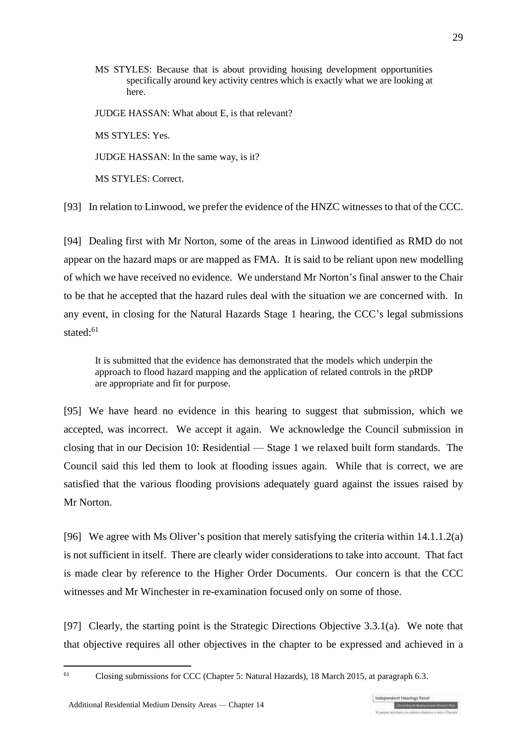MS STYLES: Because that is about providing housing development opportunities specifically around key activity centres which is exactly what we are looking at here.

JUDGE HASSAN: What about E, is that relevant?

MS STYLES: Yes.

JUDGE HASSAN: In the same way, is it?

MS STYLES: Correct.

[93] In relation to Linwood, we prefer the evidence of the HNZC witnesses to that of the CCC.

[94] Dealing first with Mr Norton, some of the areas in Linwood identified as RMD do not appear on the hazard maps or are mapped as FMA. It is said to be reliant upon new modelling of which we have received no evidence. We understand Mr Norton's final answer to the Chair to be that he accepted that the hazard rules deal with the situation we are concerned with. In any event, in closing for the Natural Hazards Stage 1 hearing, the CCC's legal submissions stated:<sup>61</sup>

It is submitted that the evidence has demonstrated that the models which underpin the approach to flood hazard mapping and the application of related controls in the pRDP are appropriate and fit for purpose.

[95] We have heard no evidence in this hearing to suggest that submission, which we accepted, was incorrect. We accept it again. We acknowledge the Council submission in closing that in our Decision 10: Residential — Stage 1 we relaxed built form standards. The Council said this led them to look at flooding issues again. While that is correct, we are satisfied that the various flooding provisions adequately guard against the issues raised by Mr Norton.

[96] We agree with Ms Oliver's position that merely satisfying the criteria within 14.1.1.2(a) is not sufficient in itself. There are clearly wider considerations to take into account. That fact is made clear by reference to the Higher Order Documents. Our concern is that the CCC witnesses and Mr Winchester in re-examination focused only on some of those.

[97] Clearly, the starting point is the Strategic Directions Objective 3.3.1(a). We note that that objective requires all other objectives in the chapter to be expressed and achieved in a

<sup>61</sup> Closing submissions for CCC (Chapter 5: Natural Hazards), 18 March 2015, at paragraph 6.3.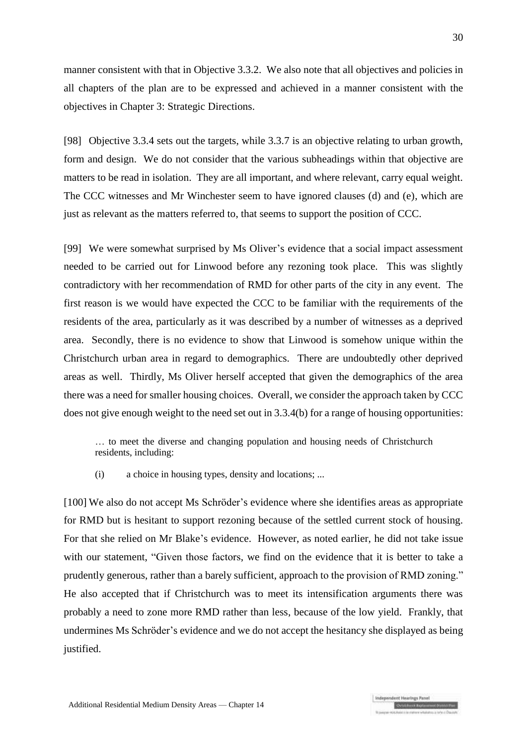manner consistent with that in Objective 3.3.2. We also note that all objectives and policies in all chapters of the plan are to be expressed and achieved in a manner consistent with the objectives in Chapter 3: Strategic Directions.

[98] Objective 3.3.4 sets out the targets, while 3.3.7 is an objective relating to urban growth, form and design. We do not consider that the various subheadings within that objective are matters to be read in isolation. They are all important, and where relevant, carry equal weight. The CCC witnesses and Mr Winchester seem to have ignored clauses (d) and (e), which are just as relevant as the matters referred to, that seems to support the position of CCC.

[99] We were somewhat surprised by Ms Oliver's evidence that a social impact assessment needed to be carried out for Linwood before any rezoning took place. This was slightly contradictory with her recommendation of RMD for other parts of the city in any event. The first reason is we would have expected the CCC to be familiar with the requirements of the residents of the area, particularly as it was described by a number of witnesses as a deprived area. Secondly, there is no evidence to show that Linwood is somehow unique within the Christchurch urban area in regard to demographics. There are undoubtedly other deprived areas as well. Thirdly, Ms Oliver herself accepted that given the demographics of the area there was a need for smaller housing choices. Overall, we consider the approach taken by CCC does not give enough weight to the need set out in 3.3.4(b) for a range of housing opportunities:

… to meet the diverse and changing population and housing needs of Christchurch residents, including:

(i) a choice in housing types, density and locations; ...

[100] We also do not accept Ms Schröder's evidence where she identifies areas as appropriate for RMD but is hesitant to support rezoning because of the settled current stock of housing. For that she relied on Mr Blake's evidence. However, as noted earlier, he did not take issue with our statement, "Given those factors, we find on the evidence that it is better to take a prudently generous, rather than a barely sufficient, approach to the provision of RMD zoning." He also accepted that if Christchurch was to meet its intensification arguments there was probably a need to zone more RMD rather than less, because of the low yield. Frankly, that undermines Ms Schrӧder's evidence and we do not accept the hesitancy she displayed as being justified.

dent Hearises Panel

**Children's Explanation COV**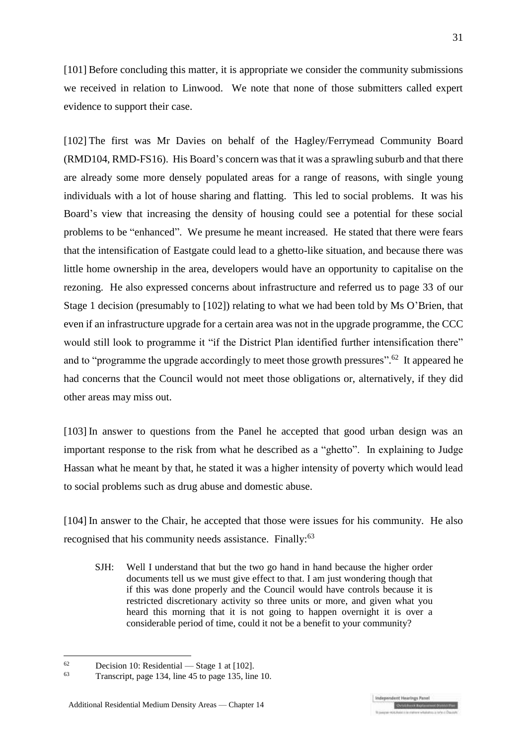[101] Before concluding this matter, it is appropriate we consider the community submissions we received in relation to Linwood. We note that none of those submitters called expert evidence to support their case.

[102] The first was Mr Davies on behalf of the Hagley/Ferrymead Community Board (RMD104, RMD-FS16). His Board's concern was that it was a sprawling suburb and that there are already some more densely populated areas for a range of reasons, with single young individuals with a lot of house sharing and flatting. This led to social problems. It was his Board's view that increasing the density of housing could see a potential for these social problems to be "enhanced". We presume he meant increased. He stated that there were fears that the intensification of Eastgate could lead to a ghetto-like situation, and because there was little home ownership in the area, developers would have an opportunity to capitalise on the rezoning. He also expressed concerns about infrastructure and referred us to page 33 of our Stage 1 decision (presumably to [102]) relating to what we had been told by Ms O'Brien, that even if an infrastructure upgrade for a certain area was not in the upgrade programme, the CCC would still look to programme it "if the District Plan identified further intensification there" and to "programme the upgrade accordingly to meet those growth pressures".<sup>62</sup> It appeared he had concerns that the Council would not meet those obligations or, alternatively, if they did other areas may miss out.

[103] In answer to questions from the Panel he accepted that good urban design was an important response to the risk from what he described as a "ghetto". In explaining to Judge Hassan what he meant by that, he stated it was a higher intensity of poverty which would lead to social problems such as drug abuse and domestic abuse.

[104] In answer to the Chair, he accepted that those were issues for his community. He also recognised that his community needs assistance. Finally:<sup>63</sup>

SJH: Well I understand that but the two go hand in hand because the higher order documents tell us we must give effect to that. I am just wondering though that if this was done properly and the Council would have controls because it is restricted discretionary activity so three units or more, and given what you heard this morning that it is not going to happen overnight it is over a considerable period of time, could it not be a benefit to your community?

1

 $^{62}$  Decision 10: Residential — Stage 1 at [102].

Transcript, page 134, line 45 to page 135, line 10.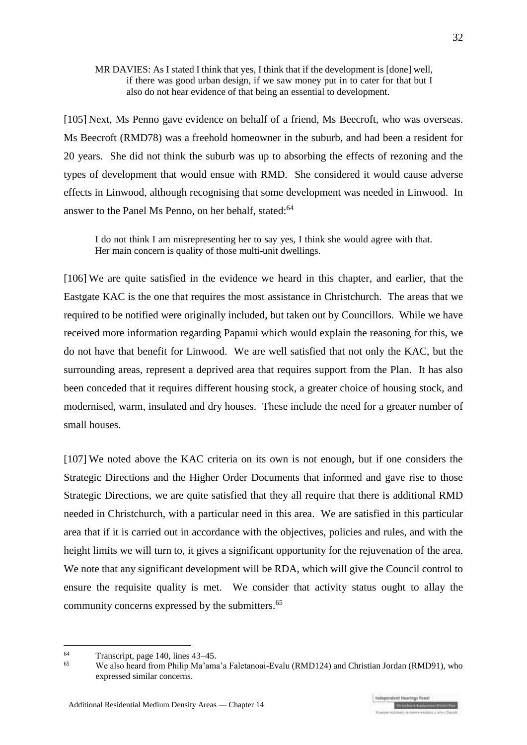#### MR DAVIES: As I stated I think that yes, I think that if the development is [done] well, if there was good urban design, if we saw money put in to cater for that but I also do not hear evidence of that being an essential to development.

[105] Next, Ms Penno gave evidence on behalf of a friend, Ms Beecroft, who was overseas. Ms Beecroft (RMD78) was a freehold homeowner in the suburb, and had been a resident for 20 years. She did not think the suburb was up to absorbing the effects of rezoning and the types of development that would ensue with RMD. She considered it would cause adverse effects in Linwood, although recognising that some development was needed in Linwood. In answer to the Panel Ms Penno, on her behalf, stated:<sup>64</sup>

I do not think I am misrepresenting her to say yes, I think she would agree with that. Her main concern is quality of those multi-unit dwellings.

[106] We are quite satisfied in the evidence we heard in this chapter, and earlier, that the Eastgate KAC is the one that requires the most assistance in Christchurch. The areas that we required to be notified were originally included, but taken out by Councillors. While we have received more information regarding Papanui which would explain the reasoning for this, we do not have that benefit for Linwood. We are well satisfied that not only the KAC, but the surrounding areas, represent a deprived area that requires support from the Plan. It has also been conceded that it requires different housing stock, a greater choice of housing stock, and modernised, warm, insulated and dry houses. These include the need for a greater number of small houses.

[107] We noted above the KAC criteria on its own is not enough, but if one considers the Strategic Directions and the Higher Order Documents that informed and gave rise to those Strategic Directions, we are quite satisfied that they all require that there is additional RMD needed in Christchurch, with a particular need in this area. We are satisfied in this particular area that if it is carried out in accordance with the objectives, policies and rules, and with the height limits we will turn to, it gives a significant opportunity for the rejuvenation of the area. We note that any significant development will be RDA, which will give the Council control to ensure the requisite quality is met. We consider that activity status ought to allay the community concerns expressed by the submitters.<sup>65</sup>

<sup>64</sup>  $^{64}$  Transcript, page 140, lines 43–45.<br> $^{65}$  We also beard from Philip Ma'amu

<sup>65</sup> We also heard from Philip Ma'ama'a Faletanoai-Evalu (RMD124) and Christian Jordan (RMD91), who expressed similar concerns.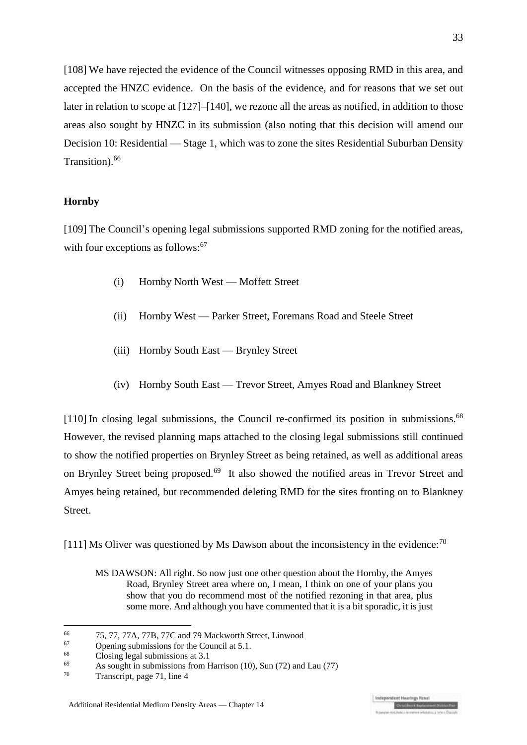[108] We have rejected the evidence of the Council witnesses opposing RMD in this area, and accepted the HNZC evidence. On the basis of the evidence, and for reasons that we set out later in relation to scope at [\[127\]](#page-35-0)[–\[140\],](#page-38-0) we rezone all the areas as notified, in addition to those areas also sought by HNZC in its submission (also noting that this decision will amend our Decision 10: Residential — Stage 1, which was to zone the sites Residential Suburban Density Transition). 66

### **Hornby**

[109] The Council's opening legal submissions supported RMD zoning for the notified areas, with four exceptions as follows:<sup>67</sup>

- (i) Hornby North West Moffett Street
- (ii) Hornby West Parker Street, Foremans Road and Steele Street
- (iii) Hornby South East Brynley Street
- (iv) Hornby South East Trevor Street, Amyes Road and Blankney Street

[110] In closing legal submissions, the Council re-confirmed its position in submissions.<sup>68</sup> However, the revised planning maps attached to the closing legal submissions still continued to show the notified properties on Brynley Street as being retained, as well as additional areas on Brynley Street being proposed.<sup>69</sup> It also showed the notified areas in Trevor Street and Amyes being retained, but recommended deleting RMD for the sites fronting on to Blankney **Street** 

[111] Ms Oliver was questioned by Ms Dawson about the inconsistency in the evidence:<sup>70</sup>

<u>.</u>

MS DAWSON: All right. So now just one other question about the Hornby, the Amyes Road, Brynley Street area where on, I mean, I think on one of your plans you show that you do recommend most of the notified rezoning in that area, plus some more. And although you have commented that it is a bit sporadic, it is just

<sup>66</sup> 75, 77, 77A, 77B, 77C and 79 Mackworth Street, Linwood

 $^{67}$  Opening submissions for the Council at 5.1.

 $^{68}$  Closing legal submissions at 3.1

<sup>&</sup>lt;sup>69</sup> As sought in submissions from Harrison (10), Sun (72) and Lau (77)<br><sup>70</sup> Transmitt, page <sup>71</sup> line 4

Transcript, page 71, line 4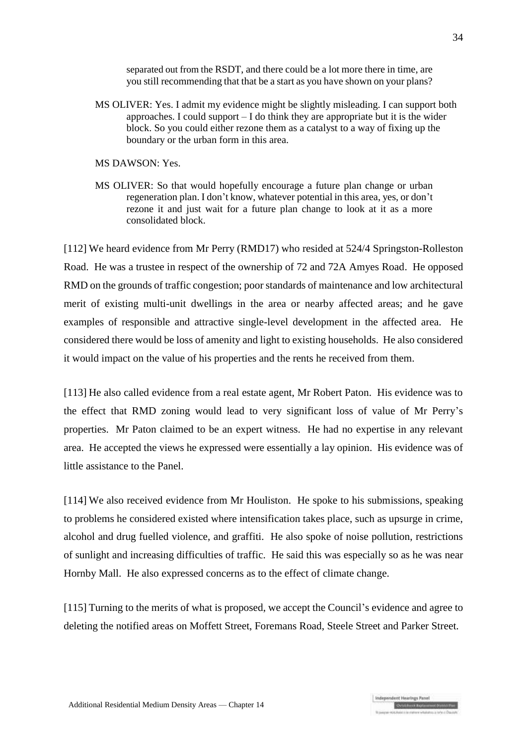separated out from the RSDT, and there could be a lot more there in time, are you still recommending that that be a start as you have shown on your plans?

MS OLIVER: Yes. I admit my evidence might be slightly misleading. I can support both approaches. I could support  $- I$  do think they are appropriate but it is the wider block. So you could either rezone them as a catalyst to a way of fixing up the boundary or the urban form in this area.

MS DAWSON: Yes.

MS OLIVER: So that would hopefully encourage a future plan change or urban regeneration plan. I don't know, whatever potential in this area, yes, or don't rezone it and just wait for a future plan change to look at it as a more consolidated block.

[112] We heard evidence from Mr Perry (RMD17) who resided at 524/4 Springston-Rolleston Road. He was a trustee in respect of the ownership of 72 and 72A Amyes Road. He opposed RMD on the grounds of traffic congestion; poor standards of maintenance and low architectural merit of existing multi-unit dwellings in the area or nearby affected areas; and he gave examples of responsible and attractive single-level development in the affected area. He considered there would be loss of amenity and light to existing households. He also considered it would impact on the value of his properties and the rents he received from them.

[113] He also called evidence from a real estate agent, Mr Robert Paton. His evidence was to the effect that RMD zoning would lead to very significant loss of value of Mr Perry's properties. Mr Paton claimed to be an expert witness. He had no expertise in any relevant area. He accepted the views he expressed were essentially a lay opinion. His evidence was of little assistance to the Panel.

[114] We also received evidence from Mr Houliston. He spoke to his submissions, speaking to problems he considered existed where intensification takes place, such as upsurge in crime, alcohol and drug fuelled violence, and graffiti. He also spoke of noise pollution, restrictions of sunlight and increasing difficulties of traffic. He said this was especially so as he was near Hornby Mall. He also expressed concerns as to the effect of climate change.

[115] Turning to the merits of what is proposed, we accept the Council's evidence and agree to deleting the notified areas on Moffett Street, Foremans Road, Steele Street and Parker Street.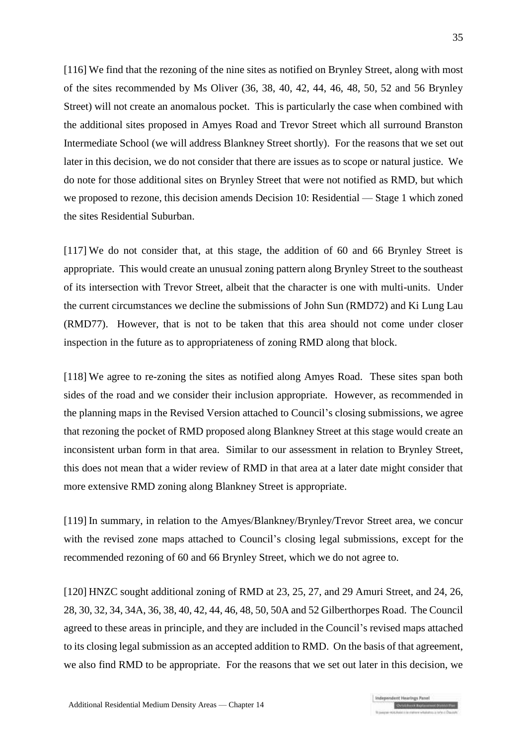[116] We find that the rezoning of the nine sites as notified on Brynley Street, along with most of the sites recommended by Ms Oliver (36, 38, 40, 42, 44, 46, 48, 50, 52 and 56 Brynley Street) will not create an anomalous pocket. This is particularly the case when combined with the additional sites proposed in Amyes Road and Trevor Street which all surround Branston Intermediate School (we will address Blankney Street shortly). For the reasons that we set out later in this decision, we do not consider that there are issues as to scope or natural justice. We do note for those additional sites on Brynley Street that were not notified as RMD, but which we proposed to rezone, this decision amends Decision 10: Residential — Stage 1 which zoned the sites Residential Suburban.

[117] We do not consider that, at this stage, the addition of 60 and 66 Brynley Street is appropriate. This would create an unusual zoning pattern along Brynley Street to the southeast of its intersection with Trevor Street, albeit that the character is one with multi-units. Under the current circumstances we decline the submissions of John Sun (RMD72) and Ki Lung Lau (RMD77). However, that is not to be taken that this area should not come under closer inspection in the future as to appropriateness of zoning RMD along that block.

[118] We agree to re-zoning the sites as notified along Amyes Road. These sites span both sides of the road and we consider their inclusion appropriate. However, as recommended in the planning maps in the Revised Version attached to Council's closing submissions, we agree that rezoning the pocket of RMD proposed along Blankney Street at this stage would create an inconsistent urban form in that area. Similar to our assessment in relation to Brynley Street, this does not mean that a wider review of RMD in that area at a later date might consider that more extensive RMD zoning along Blankney Street is appropriate.

[119] In summary, in relation to the Amyes/Blankney/Brynley/Trevor Street area, we concur with the revised zone maps attached to Council's closing legal submissions, except for the recommended rezoning of 60 and 66 Brynley Street, which we do not agree to.

[120] HNZC sought additional zoning of RMD at 23, 25, 27, and 29 Amuri Street, and 24, 26, 28, 30, 32, 34, 34A, 36, 38, 40, 42, 44, 46, 48, 50, 50A and 52 Gilberthorpes Road. The Council agreed to these areas in principle, and they are included in the Council's revised maps attached to its closing legal submission as an accepted addition to RMD. On the basis of that agreement, we also find RMD to be appropriate. For the reasons that we set out later in this decision, we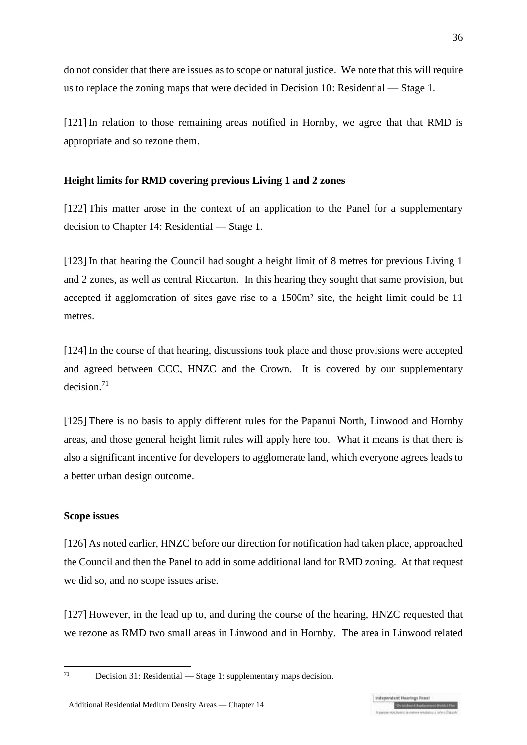do not consider that there are issues as to scope or natural justice. We note that this will require us to replace the zoning maps that were decided in Decision 10: Residential — Stage 1.

[121] In relation to those remaining areas notified in Hornby, we agree that that RMD is appropriate and so rezone them.

## **Height limits for RMD covering previous Living 1 and 2 zones**

[122] This matter arose in the context of an application to the Panel for a supplementary decision to Chapter 14: Residential — Stage 1.

[123] In that hearing the Council had sought a height limit of 8 metres for previous Living 1 and 2 zones, as well as central Riccarton. In this hearing they sought that same provision, but accepted if agglomeration of sites gave rise to a 1500m² site, the height limit could be 11 metres.

[124] In the course of that hearing, discussions took place and those provisions were accepted and agreed between CCC, HNZC and the Crown. It is covered by our supplementary decision<sup>71</sup>

[125] There is no basis to apply different rules for the Papanui North, Linwood and Hornby areas, and those general height limit rules will apply here too. What it means is that there is also a significant incentive for developers to agglomerate land, which everyone agrees leads to a better urban design outcome.

### **Scope issues**

[126] As noted earlier, HNZC before our direction for notification had taken place, approached the Council and then the Panel to add in some additional land for RMD zoning. At that request we did so, and no scope issues arise.

<span id="page-35-0"></span>[127] However, in the lead up to, and during the course of the hearing, HNZC requested that we rezone as RMD two small areas in Linwood and in Hornby. The area in Linwood related

Decision 31: Residential — Stage 1: supplementary maps decision.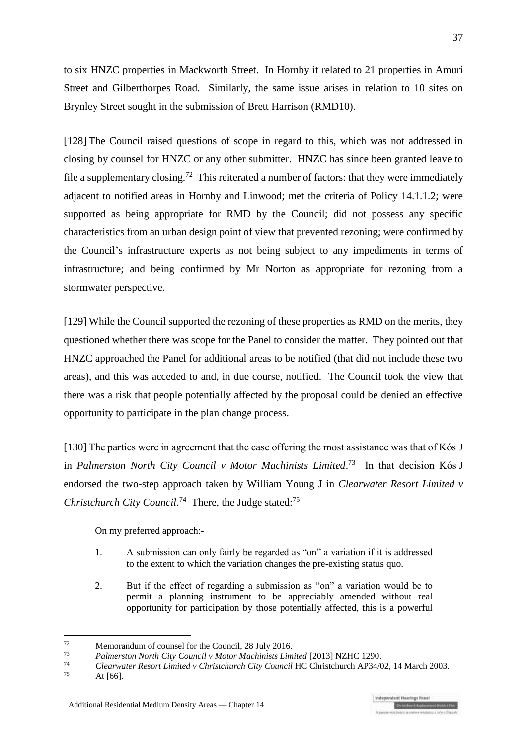to six HNZC properties in Mackworth Street. In Hornby it related to 21 properties in Amuri Street and Gilberthorpes Road. Similarly, the same issue arises in relation to 10 sites on Brynley Street sought in the submission of Brett Harrison (RMD10).

[128] The Council raised questions of scope in regard to this, which was not addressed in closing by counsel for HNZC or any other submitter. HNZC has since been granted leave to file a supplementary closing.<sup>72</sup> This reiterated a number of factors: that they were immediately adjacent to notified areas in Hornby and Linwood; met the criteria of Policy 14.1.1.2; were supported as being appropriate for RMD by the Council; did not possess any specific characteristics from an urban design point of view that prevented rezoning; were confirmed by the Council's infrastructure experts as not being subject to any impediments in terms of infrastructure; and being confirmed by Mr Norton as appropriate for rezoning from a stormwater perspective.

[129] While the Council supported the rezoning of these properties as RMD on the merits, they questioned whether there was scope for the Panel to consider the matter. They pointed out that HNZC approached the Panel for additional areas to be notified (that did not include these two areas), and this was acceded to and, in due course, notified. The Council took the view that there was a risk that people potentially affected by the proposal could be denied an effective opportunity to participate in the plan change process.

[130] The parties were in agreement that the case offering the most assistance was that of Kós J in *Palmerston North City Council v Motor Machinists Limited*. <sup>73</sup> In that decision Kόs J endorsed the two-step approach taken by William Young J in *Clearwater Resort Limited v*  Christchurch City Council.<sup>74</sup> There, the Judge stated:<sup>75</sup>

On my preferred approach:-

- 1. A submission can only fairly be regarded as "on" a variation if it is addressed to the extent to which the variation changes the pre-existing status quo.
- 2. But if the effect of regarding a submission as "on" a variation would be to permit a planning instrument to be appreciably amended without real opportunity for participation by those potentially affected, this is a powerful

 $72$  $\frac{72}{73}$  Memorandum of counsel for the Council, 28 July 2016.

<sup>73</sup> *Palmerston North City Council v Motor Machinists Limited* [2013] NZHC 1290.

<sup>74</sup> *Clearwater Resort Limited v Christchurch City Council* HC Christchurch AP34/02, 14 March 2003.

At  $[66]$ .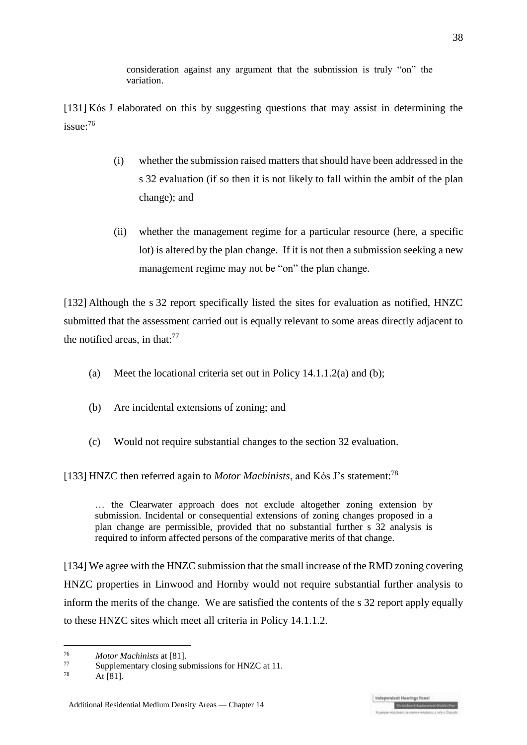consideration against any argument that the submission is truly "on" the variation.

[131] Kós J elaborated on this by suggesting questions that may assist in determining the issue:<sup>76</sup>

- (i) whether the submission raised matters that should have been addressed in the s 32 evaluation (if so then it is not likely to fall within the ambit of the plan change); and
- (ii) whether the management regime for a particular resource (here, a specific lot) is altered by the plan change. If it is not then a submission seeking a new management regime may not be "on" the plan change.

[132] Although the s 32 report specifically listed the sites for evaluation as notified, HNZC submitted that the assessment carried out is equally relevant to some areas directly adjacent to the notified areas, in that: $77$ 

- (a) Meet the locational criteria set out in Policy  $14.1.1.2(a)$  and (b);
- (b) Are incidental extensions of zoning; and
- (c) Would not require substantial changes to the section 32 evaluation.

[133] HNZC then referred again to *Motor Machinists*, and Kós J's statement:<sup>78</sup>

… the Clearwater approach does not exclude altogether zoning extension by submission. Incidental or consequential extensions of zoning changes proposed in a plan change are permissible, provided that no substantial further s 32 analysis is required to inform affected persons of the comparative merits of that change.

[134] We agree with the HNZC submission that the small increase of the RMD zoning covering HNZC properties in Linwood and Hornby would not require substantial further analysis to inform the merits of the change. We are satisfied the contents of the s 32 report apply equally to these HNZC sites which meet all criteria in Policy 14.1.1.2.

 $76$ <sup>76</sup> *Motor Machinists* at [81].

<sup>77</sup> Supplementary closing submissions for HNZC at 11.<br> $\frac{78}{12}$  At 1911

At  $[81]$ .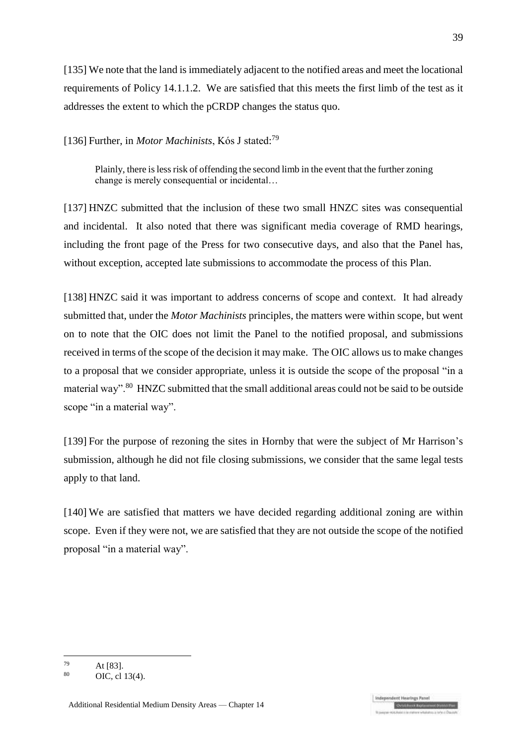[135] We note that the land is immediately adjacent to the notified areas and meet the locational requirements of Policy 14.1.1.2. We are satisfied that this meets the first limb of the test as it addresses the extent to which the pCRDP changes the status quo.

[136] Further, in *Motor Machinists*, Kós J stated:<sup>79</sup>

Plainly, there is less risk of offending the second limb in the event that the further zoning change is merely consequential or incidental…

[137] HNZC submitted that the inclusion of these two small HNZC sites was consequential and incidental. It also noted that there was significant media coverage of RMD hearings, including the front page of the Press for two consecutive days, and also that the Panel has, without exception, accepted late submissions to accommodate the process of this Plan.

[138] HNZC said it was important to address concerns of scope and context. It had already submitted that, under the *Motor Machinists* principles, the matters were within scope, but went on to note that the OIC does not limit the Panel to the notified proposal, and submissions received in terms of the scope of the decision it may make. The OIC allows us to make changes to a proposal that we consider appropriate, unless it is outside the scope of the proposal "in a material way".<sup>80</sup> HNZC submitted that the small additional areas could not be said to be outside scope "in a material way".

[139] For the purpose of rezoning the sites in Hornby that were the subject of Mr Harrison's submission, although he did not file closing submissions, we consider that the same legal tests apply to that land.

<span id="page-38-0"></span>[140] We are satisfied that matters we have decided regarding additional zoning are within scope. Even if they were not, we are satisfied that they are not outside the scope of the notified proposal "in a material way".

 $79$  At [83].

OIC, cl 13(4).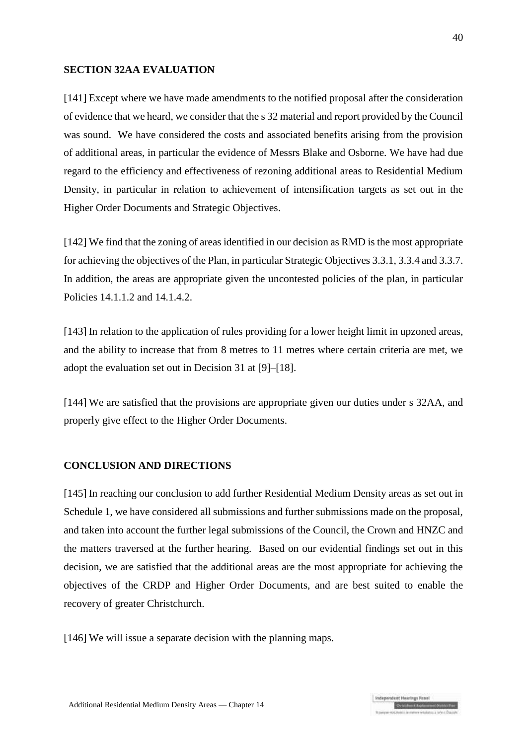#### **SECTION 32AA EVALUATION**

[141] Except where we have made amendments to the notified proposal after the consideration of evidence that we heard, we consider that the s 32 material and report provided by the Council was sound. We have considered the costs and associated benefits arising from the provision of additional areas, in particular the evidence of Messrs Blake and Osborne. We have had due regard to the efficiency and effectiveness of rezoning additional areas to Residential Medium Density, in particular in relation to achievement of intensification targets as set out in the Higher Order Documents and Strategic Objectives.

[142] We find that the zoning of areas identified in our decision as RMD is the most appropriate for achieving the objectives of the Plan, in particular Strategic Objectives 3.3.1, 3.3.4 and 3.3.7. In addition, the areas are appropriate given the uncontested policies of the plan, in particular Policies 14.1.1.2 and 14.1.4.2.

[143] In relation to the application of rules providing for a lower height limit in upzoned areas, and the ability to increase that from 8 metres to 11 metres where certain criteria are met, we adopt the evaluation set out in Decision 31 at [9]–[18].

[144] We are satisfied that the provisions are appropriate given our duties under s 32AA, and properly give effect to the Higher Order Documents.

#### **CONCLUSION AND DIRECTIONS**

[145] In reaching our conclusion to add further Residential Medium Density areas as set out in Schedule 1, we have considered all submissions and further submissions made on the proposal, and taken into account the further legal submissions of the Council, the Crown and HNZC and the matters traversed at the further hearing. Based on our evidential findings set out in this decision, we are satisfied that the additional areas are the most appropriate for achieving the objectives of the CRDP and Higher Order Documents, and are best suited to enable the recovery of greater Christchurch.

[146] We will issue a separate decision with the planning maps.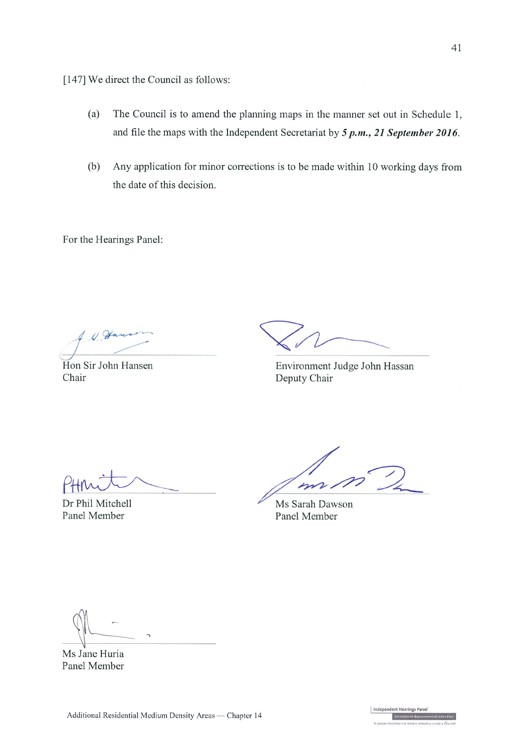[147] We direct the Council as follows:

- $(a)$ The Council is to amend the planning maps in the manner set out in Schedule 1, and file the maps with the Independent Secretariat by  $5 p.m., 21 September 2016.$
- $(b)$ Any application for minor corrections is to be made within 10 working days from the date of this decision.

For the Hearings Panel:

Hon Sir John Hansen Chair

Environment Judge John Hassan Deputy Chair

Dr Phil Mitchell Panel Member

 $\overline{\nu}$ 

Ms Sarah Dawson Panel Member

Ms Jane Huria Panel Member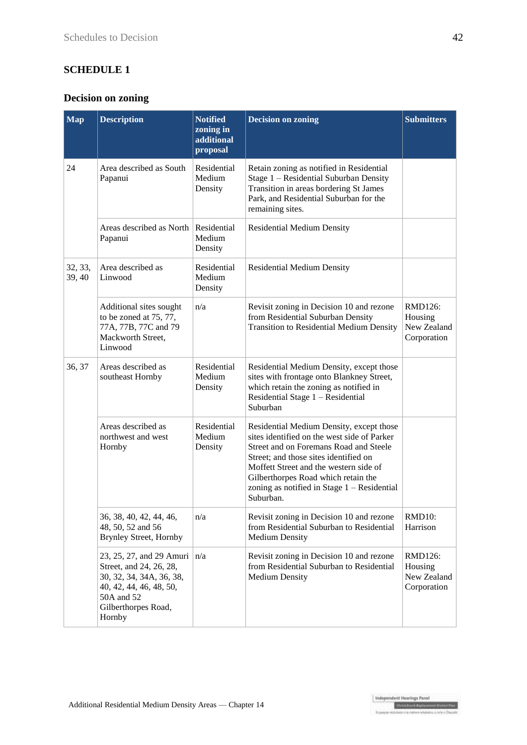## **SCHEDULE 1**

## **Decision on zoning**

| <b>Map</b>        | <b>Description</b>                                                                                                                                        | <b>Notified</b><br>zoning in<br>additional<br>proposal | <b>Decision on zoning</b>                                                                                                                                                                                                                                                                                                 | <b>Submitters</b>                                |
|-------------------|-----------------------------------------------------------------------------------------------------------------------------------------------------------|--------------------------------------------------------|---------------------------------------------------------------------------------------------------------------------------------------------------------------------------------------------------------------------------------------------------------------------------------------------------------------------------|--------------------------------------------------|
| 24                | Area described as South<br>Papanui                                                                                                                        | Residential<br>Medium<br>Density                       | Retain zoning as notified in Residential<br>Stage 1 - Residential Suburban Density<br>Transition in areas bordering St James<br>Park, and Residential Suburban for the<br>remaining sites.                                                                                                                                |                                                  |
|                   | Areas described as North<br>Papanui                                                                                                                       | Residential<br>Medium<br>Density                       | <b>Residential Medium Density</b>                                                                                                                                                                                                                                                                                         |                                                  |
| 32, 33,<br>39, 40 | Area described as<br>Linwood                                                                                                                              | Residential<br>Medium<br>Density                       | <b>Residential Medium Density</b>                                                                                                                                                                                                                                                                                         |                                                  |
|                   | Additional sites sought<br>to be zoned at 75, 77,<br>77A, 77B, 77C and 79<br>Mackworth Street,<br>Linwood                                                 | n/a                                                    | Revisit zoning in Decision 10 and rezone<br>from Residential Suburban Density<br><b>Transition to Residential Medium Density</b>                                                                                                                                                                                          | RMD126:<br>Housing<br>New Zealand<br>Corporation |
| 36, 37            | Areas described as<br>southeast Hornby                                                                                                                    | Residential<br>Medium<br>Density                       | Residential Medium Density, except those<br>sites with frontage onto Blankney Street,<br>which retain the zoning as notified in<br>Residential Stage 1 - Residential<br>Suburban                                                                                                                                          |                                                  |
|                   | Areas described as<br>northwest and west<br>Hornby                                                                                                        | Residential<br>Medium<br>Density                       | Residential Medium Density, except those<br>sites identified on the west side of Parker<br>Street and on Foremans Road and Steele<br>Street; and those sites identified on<br>Moffett Street and the western side of<br>Gilberthorpes Road which retain the<br>zoning as notified in Stage $1 -$ Residential<br>Suburban. |                                                  |
|                   | 36, 38, 40, 42, 44, 46,<br>48, 50, 52 and 56<br><b>Brynley Street, Hornby</b>                                                                             | n/a                                                    | Revisit zoning in Decision 10 and rezone<br>from Residential Suburban to Residential<br><b>Medium Density</b>                                                                                                                                                                                                             | RMD10:<br>Harrison                               |
|                   | 23, 25, 27, and 29 Amuri<br>Street, and 24, 26, 28,<br>30, 32, 34, 34A, 36, 38,<br>40, 42, 44, 46, 48, 50,<br>50A and 52<br>Gilberthorpes Road,<br>Hornby | n/a                                                    | Revisit zoning in Decision 10 and rezone<br>from Residential Suburban to Residential<br><b>Medium Density</b>                                                                                                                                                                                                             | RMD126:<br>Housing<br>New Zealand<br>Corporation |